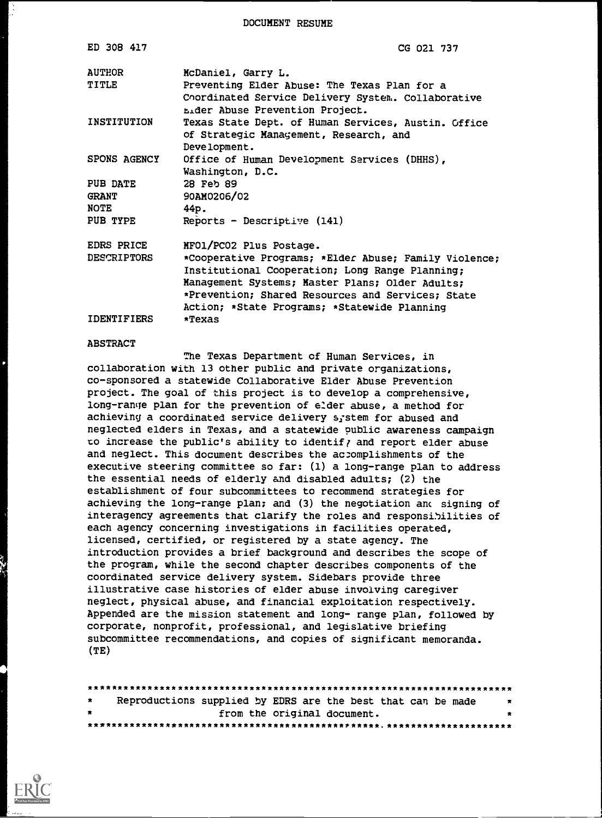DOCUMENT RESUME

| ED 308 417                              | CG 021 737                                                                                                                                                                                                                                                       |
|-----------------------------------------|------------------------------------------------------------------------------------------------------------------------------------------------------------------------------------------------------------------------------------------------------------------|
| <b>AUTHOR</b><br>TITLE                  | McDaniel, Garry L.<br>Preventing Elder Abuse: The Texas Plan for a                                                                                                                                                                                               |
| INSTITUTION                             | Coordinated Service Delivery System. Collaborative<br><b>Lider Abuse Prevention Project.</b><br>Texas State Dept. of Human Services, Austin. Office                                                                                                              |
| <b>SPONS AGENCY</b>                     | of Strategic Management, Research, and<br>Development.<br>Office of Human Development Services (DHHS),                                                                                                                                                           |
|                                         | Washington, D.C.                                                                                                                                                                                                                                                 |
| <b>PUB DATE</b><br><b>GRANT</b><br>NOTE | 28 Feb 89<br>90AM0206/02<br>44p.                                                                                                                                                                                                                                 |
| PUB TYPE                                | $Reports - Descriptive (141)$                                                                                                                                                                                                                                    |
| <b>EDRS PRICE</b>                       | MFO1/PCO2 Plus Postage.                                                                                                                                                                                                                                          |
| <b>DESCRIPTORS</b>                      | *Cooperative Programs; *Elder Abuse; Family Violence;<br>Institutional Cooperation; Long Range Planning;<br>Management Systems; Master Plans; Older Adults;<br>*Prevention; Shared Resources and Services; State<br>Action; *State Programs; *Statewide Planning |
| <b>IDENTIFIERS</b>                      | *Texas                                                                                                                                                                                                                                                           |

#### ABSTRACT

The Texas Department of Human Services, in collaboration with 13 other public and private organizations, co-sponsored a statewide Collaborative Elder Abuse Prevention project. The goal of this project is to develop a comprehensive, long-range plan for the prevention of e:der abuse, a method for achieving a coordinated service delivery system for abused and neglected elders in Texas, and a statewide public awareness campaign to increase the public's ability to identify and report elder abuse and neglect. This document describes the accomplishments of the executive steering committee so far: (1) a long-range plan to address the essential needs of elderly and disabled adults; (2) the establishment of four subcommittees to recommend strategies for achieving the long-range plan; and (3) the negotiation anc signing of interagency agreements that clarify the roles and responsibilities of each agency concerning investigations in facilities operated, licensed, certified, or registered by a state agency. The introduction provides a brief background and describes the scope of the program, while the second chapter describes components of the coordinated service delivery system. Sidebars provide three illustrative case histories of elder abuse involving caregiver neglect, physical abuse, and financial exploitation respectively. Appended are the mission statement and long- range plan, followed by corporate, nonprofit, professional, and legislative briefing subcommittee recommendations, and copies of significant memoranda. (TE)

| $\star$      | Reproductions supplied by EDRS are the best that can be made |  |  |                             |  | $\mathbf{x}$ |
|--------------|--------------------------------------------------------------|--|--|-----------------------------|--|--------------|
| $\mathbf{x}$ |                                                              |  |  | from the original document. |  | $\bullet$    |
|              |                                                              |  |  |                             |  |              |

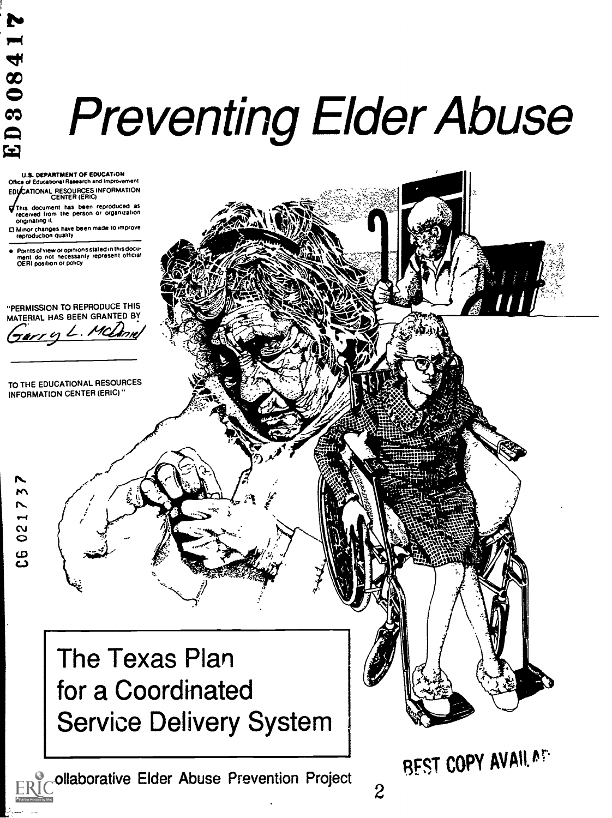# i  $\mathbf{P}$  and  $\mathbf{P}$ **3084**

## <sup>8</sup><br>CDC  $e^{\frac{1}{2}}$  Preventing Elder Abuse

U.S. DEPARTMENT OF EDUCATION Office of Educational Research and improvement EOykATIONAU RESOURCES INFORMATION CENTER (ERIC)

This document has been reproduced as received from the person or OrganiZation Originating it

O Minor changes have been made to improve reproduction quality

Points of view or opinions stated in this docu-<br>ment : do: not: necessarily: represent: official<br>OERI position or policy

'PERMISSION TO REPRODUCE THIS MATERIAL HAS BEEN GRANTED BY

rry L. MCL

TO THE EDUCATIONAL RESOURCES INFORMATION CENTER (ERIC)'

 $\begin{array}{c} \sim \\ \sim \\ \sim \end{array}$ 

N.  $\mathcal{L}$  $\frac{1}{1}$ 

 $\omega$  $\sim$ 

> The Texas Plan for a Coordinated Service Delivery System

ollaborative Elder Abuse Prevention Project<br>2

**REST COPY AVAIL AT.**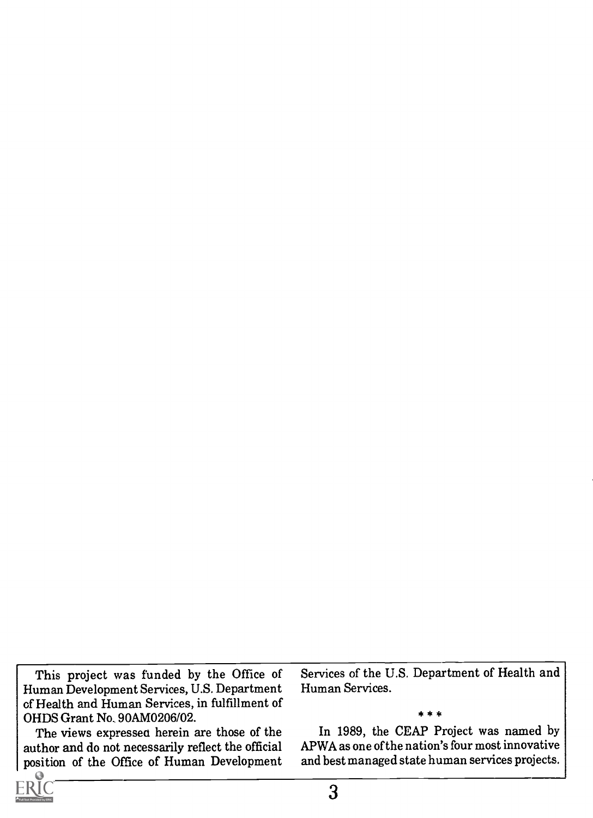This project was funded by the Office of Human Development Services, U.S. Department of Health and Human Services, in fulfillment of OHDS Grant No. 90AM0206/02.

The views expressed herein are those of the author and do not necessarily reflect the official position of the Office of Human Development Services of the U.S. Department of Health and Human Services.

\* \* \*

In 1989, the CEAP Project was named by APWA as one of the nation's four most innovative and best managed state human services projects.

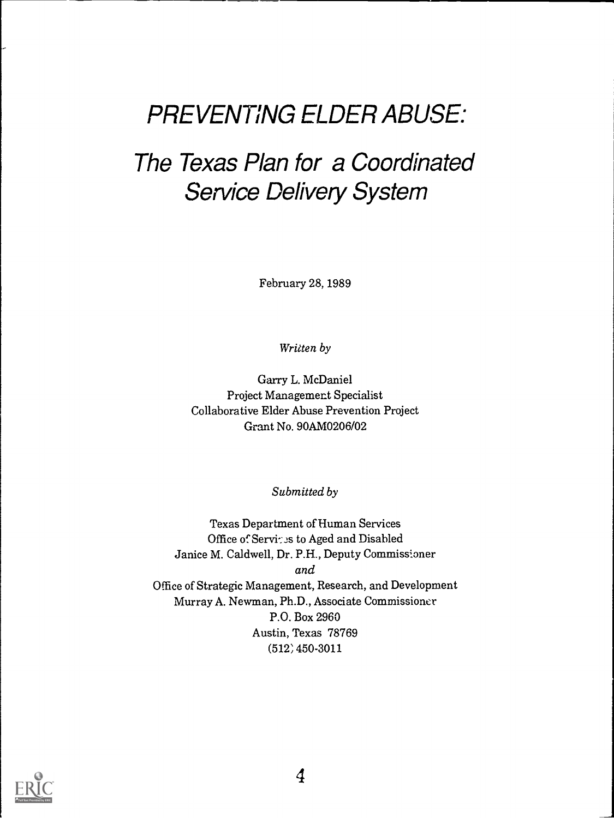## PREVENTING ELDER ABUSE:

## The Texas Plan for a Coordinated Service Delivery System

February 28, 1989

Written by

Garry L. McDaniel Project Management Specialist Collaborative Elder Abuse Prevention Project Grant No. 90AM0206/02

Submitted by

Texas Department of Human Services Office of Services to Aged and Disabled Janice M. Caldwell, Dr. P.H., Deputy Commissioner and Office of Strategic Management, Research, and Development Murray A. Newman, Ph.D., Associate Commissioner P.O. Box 2960 Austin, Texas 78769 (512, 450-3011

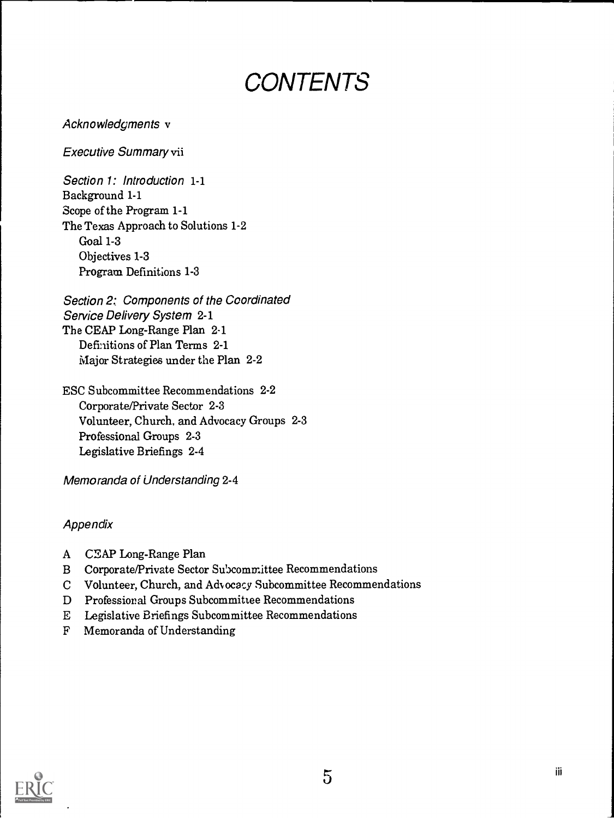## **CONTENTS**

Acknowledgments v

Executive Summary vii

Section 1: Introduction 1-1 Background 1-1 Scope of the Program 1-1 The Texas Approach to Solutions 1-2 Goal 1-3 Objectives 1-3 Program Definitions 1-3

Section 2: Components of the Coordinated Service Delivery System 2-1 The CEAP Long-Range Plan 2-1 Definitions of Plan Terms 2-1 Major Strategies under the Plan 2-2

ESC Subcommittee Recommendations 2-2 Corporate/Private Sector 2-3 Volunteer, Church, and Advocacy Groups 2-3 Professional Groups 2-3 Legislative Briefings 2-4

Memoranda of Understanding 2-4

### Appendix

- A CEAP Long-Range Plan
- B Corporate/Private Sector Sulxcommittee Recommendations
- C Volunteer, Church, and Advocacy Subcommittee Recommendations
- D Professional Groups Subcommittee Recommendations
- E Legislative Briefings Subcommittee Recommendations
- F Memoranda of Understanding

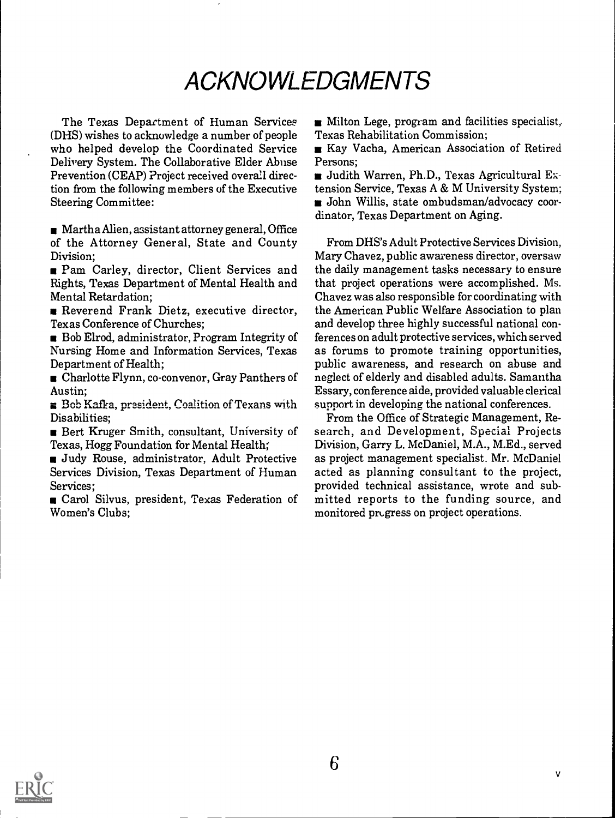## ACKNOWLEDGMENTS

The Texas Department of Human Services (DHS) wishes to acknowledge a number of people who helped develop the Coordinated Service Delivery System. The Collaborative Elder Abuse Prevention (CEAP) Project received overall direction from the following members of the Executive Steering Committee:

Martha Alien, assistant attorney general, Office of the Attorney General, State and County Division;

**Pam Carley, director, Client Services and** Rights, Texas Department of Mental Health and Mental Retardation;

Reverend Frank Dietz, executive director, Texas Conference of Churches;

Bob Elrod, administrator, Program Integrity of Nursing Home and Information Services, Texas Department of Health;

Charlotte Flynn, co-convenor, Gray Panthers of Austin;

 $\equiv$  Bob Kafka, president, Coalition of Texans with Disabilities;

Bert Kruger Smith, consultant, University of Texas, Hogg Foundation for Mental Health;

Judy Rouse, administrator, Adult Protective Services Division, Texas Department of Human Services;

Garol Silvus, president, Texas Federation of Women's Clubs;

 $\blacksquare$  Milton Lege, program and facilities specialist, Texas Rehabilitation Commission;

Kay Vacha, American Association of Retired Persons;

Judith Warren, Ph.D., Texas Agricultural Extension Service, Texas A & M University System; John Willis, state ombudsman/advocacy coordinator, Texas Department on Aging.

From DHS's Adult Protective Services Division, Mary Chavez, public awareness director, oversaw the daily management tasks necessary to ensure that project operations were accomplished. Ms. Chavez was also responsible for coordinating with the American Public Welfare Association to plan and develop three highly successful national conferences on adult protective services, which served as forums to promote training opportunities, public awareness, and research on abuse and neglect of elderly and disabled adults. Samantha Essary, conference aide, provided valuable clerical support in developing the national conferences.

From the Office of Strategic Management, Research, and Development, Special Projects Division, Garry L. McDaniel, M.A., M.Ed., served as project management specialist. Mr. McDaniel acted as planning consultant to the project, provided technical assistance, wrote and submitted reports to the funding source, and monitored progress on project operations.

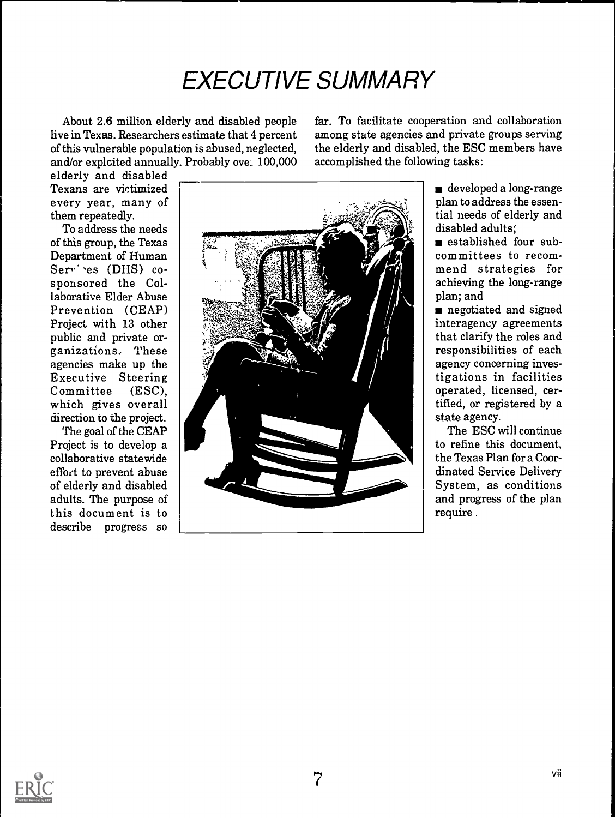## EXECUTIVE SUMMARY

About 2.6 million elderly and disabled people live in Texas. Researchers estimate that 4 percent of this vulnerable population is abused, neglected, and/or exploited annually. Probably ove. 100,000 far. To facilitate cooperation and collaboration among state agencies and private groups serving the elderly and disabled, the ESC members have accomplished the following tasks:

elderly and disabled Texans are victimized every year, many of them repeatedly.

To address the needs of this group, the Texas Department of Human Servies (DHS) cosponsored the Collaborative Elder Abuse Prevention (CEAP) Project with 13 other public and private organizations. These agencies make up the Executive Steering Committee (ESC), which gives overall direction to the project.

The goal of the CEAP Project is to develop a collaborative statewide effort to prevent abuse of elderly and disabled adults. The purpose of this document is to progress so



developed a long-range plan to address the essential needs of elderly and disabled adults;

s established four subcommittees to recommend strategies for achieving the long-range plan; and

negotiated and signed interagency agreements that clarify the roles and responsibilities of each<br>agency concerning investigations in facilities operated, licensed, certified, or registered by a state agency.

The ESC will continue to refine this document, the Texas Plan for a Coordinated Service Delivery System, as conditions and progress of the plan require .

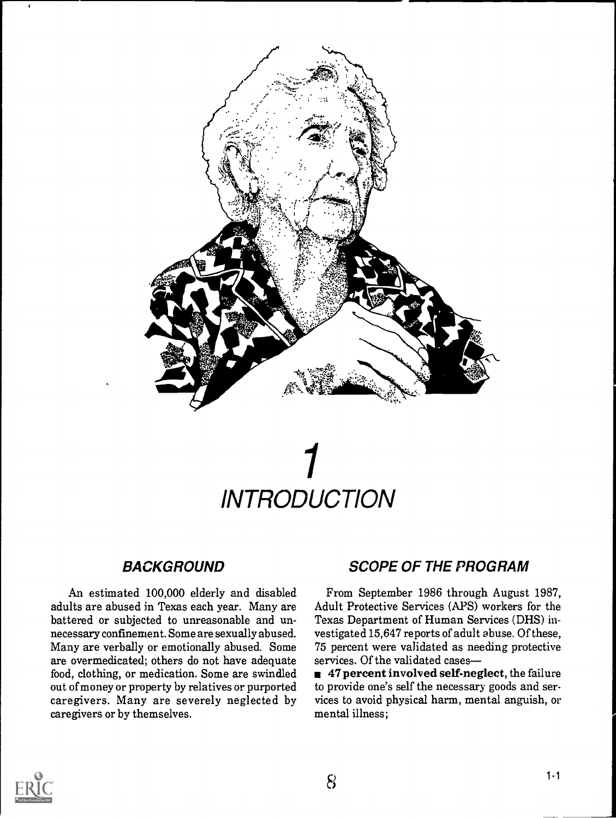

## 1 **INTRODUCTION**

## BACKGROUND

An estimated 100,000 elderly and disabled adults are abused in Texas each year. Many are battered or subjected to unreasonable and unnecessary confinement. Some are sexually abused. Many are verbally or emotionally abused. Some are overmedicated; others do not have adequate food, clothing, or medication. Some are swindled out of money or property by relatives or purported caregivers. Many are severely neglected by caregivers or by themselves.

## SCOPE OF THE PROGRAM

From September 1986 through August 1987, Adult Protective Services (APS) workers for the Texas Department of Human Services (DHS) investigated 15,647 reports of adult abuse. Of these, 75 percent were validated as needing protective services. Of the validated cases

 $\blacksquare$  47 percent involved self-neglect, the failure to provide one's self the necessary goods and services to avoid physical harm, mental anguish, or mental illness;

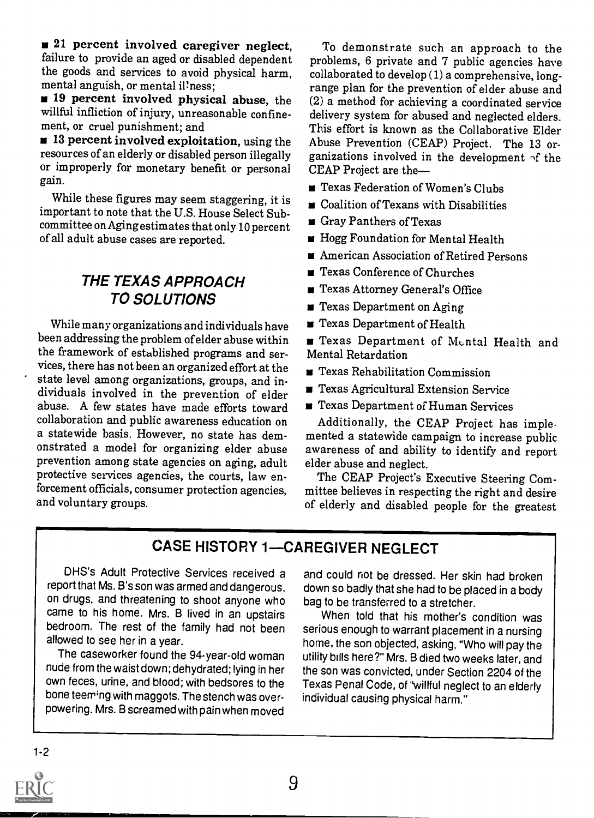**21** percent involved caregiver neglect, failure to provide an aged or disabled dependent the goods and services to avoid physical harm, mental anguish, or mental il'ness;

**19 percent involved physical abuse**, the willful infliction of injury, unreasonable confinement, or cruel punishment; and

 $\blacksquare$  13 percent involved exploitation, using the resources of an elderly or disabled person illegally or improperly for monetary benefit or personal gain.

While these figures may seem staggering, it is important to note that the U.S. House Select Subcommittee on Aging estimates that only 10 percent of all adult abuse cases are reported.

## THE TEXAS APPROACH TO SOLUTIONS

While many organizations and individuals have been addressing the problem of elder abuse within the framework of established programs and services, there has not been an organized effort at the state level among organizations, groups, and individuals involved in the prevention of elder abuse. A few states have made efforts toward collaboration and public awareness education on a statewide basis. However, no state has demonstrated a model for organizing elder abuse prevention among state agencies on aging, adult protective services agencies, the courts, law enforcement officials, consumer protection agencies, and voluntary groups.

To demonstrate such an approach to the problems, 6 private and 7 public agencies have collaborated to develop (1) a comprehensive, longrange plan for the prevention of elder abuse and (2) a method for achieving a coordinated service delivery system for abused and neglected elders. This effort is known as the Collaborative Elder Abuse Prevention (CEAP) Project. The 13 organizations involved in the development  $\gamma f$  the CEAP Project are the

- **Texas Federation of Women's Clubs**
- Goalition of Texans with Disabilities
- Gray Panthers of Texas
- **Hogg Foundation for Mental Health**
- $\blacksquare$  American Association of Retired Persons
- Texas Conference of Churches
- Texas Attorney General's Office
- **Texas Department on Aging**
- Texas Department of Health

Texas Department of Mental Health and Mental Retardation

- **Texas Rehabilitation Commission**
- Texas Agricultural Extension Service
- **Texas Department of Human Services**

Additionally, the CEAP Project has implemented a statewide campaign to increase public awareness of and ability to identify and report elder abuse and neglect.

The CEAP Project's Executive Steering Committee believes in respecting the right and desire of elderly and disabled people for the greatest

## **CASE HISTORY 1-CAREGIVER NEGLECT**

DHS's Adult Protective Services received a report that Ms. B's son was armed and dangerous, on drugs, and threatening to shoot anyone who came to his home. Mrs. B lived in an upstairs bedroom. The rest of the family had not been allowed to see her in a year.

The caseworker found the 94-year-old woman nude from the waist down; dehydrated; lying in her own feces, urine, and blood; with bedsores to the bone teeming with maggots. The stench was overpowering. Mrs. B screamed with pain when moved

and could not be dressed. Her skin had broken down so badly that she had to be placed in a body bag to be transferred to a stretcher.

When told that his mother's condition was serious enough to warrant placement in a nursing home, the son objected, asking, "Who will pay the utility bills here?" Mrs. B died two weeks later, and the son was convicted, under Section 2204 of the Texas Penal Code, of "willful neglect to an elderly individual causing physical harm."

1-2

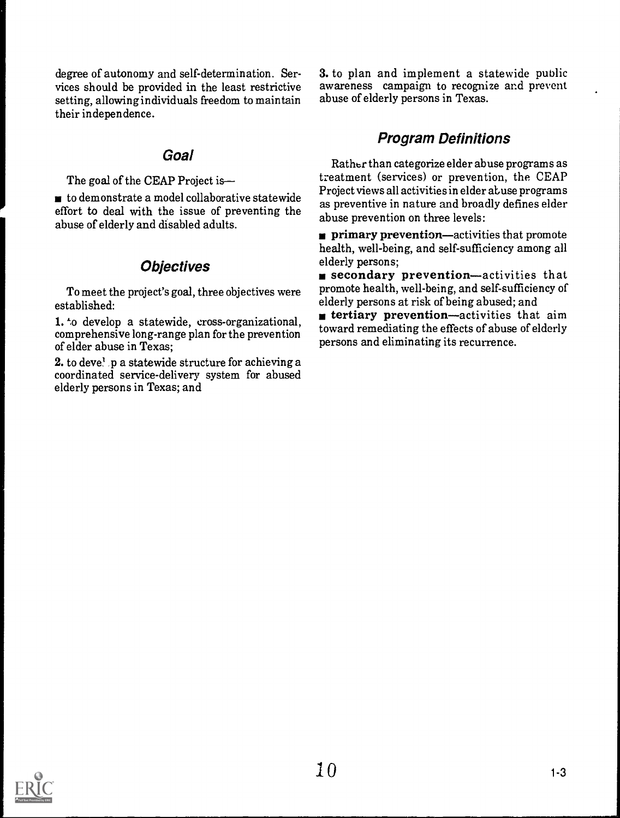degree of autonomy and self-determination. Services should be provided in the least restrictive setting, allowing individuals freedom to maintain their independence.

### Goal

The goal of the CEAP Project is-

 $\blacksquare$  to demonstrate a model collaborative statewide effort to deal with the issue of preventing the abuse of elderly and disabled adults.

### **Objectives**

To meet the project's goal, three objectives were established:

1. to develop a statewide, cross-organizational, comprehensive long-range plan for the prevention of elder abuse in Texas;

2. to deve! p a statewide structure for achieving a coordinated service-delivery system for abused elderly persons in Texas; and

3. to plan and implement a statewide public awareness campaign to recognize and prevent abuse of elderly persons in Texas.

## Program Definitions

Rather than categorize elder abuse programs as treatment (services) or prevention, the CEAP Project views all activities in elder abuse programs as preventive in nature and broadly defines elder abuse prevention on three levels:

**Primary prevention—activities that promote** health, well-being, and self-sufficiency among all elderly persons;<br>**secondary prevention**—activities that

promote health, well-being, and self-sufficiency of elderly persons at risk of being abused; and

 $\blacksquare$  tertiary prevention—activities that aim toward remediating the effects of abuse of elderly persons and eliminating its recurrence.

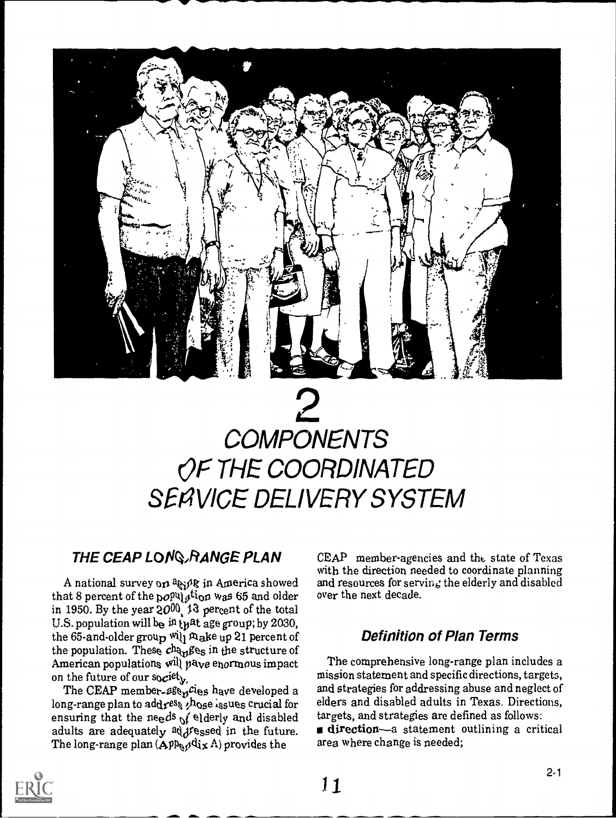

## $2\overline{)}$ **COMPONENTS** OF THE COORDINATED SERVICE DELIVERY SYSTEM

## THE CEAP LONQ RANGE PLAN

A national survey on  $a_{kj}$  in America showed that 8 percent of the population was 65 and older in 1950. By the year  $20^{00}$  13 percent of the total U.S. population will be in tyst age group; by 2030, the 65-and-older group will  $\mathcal{R}_{abc}$  up 21 percent of the population. These  $ch_{\theta_{\text{M}}\beta_{\text{eS}}}$  in the structure of American populations  $\left[\psi\right]$  pave enormous impact on the future of our so $c^{\mathrm{jet}}$  ,

The CEAP member-age<sub>n</sub>cies have developed a and st long-range plan to address  $,h_{0s}$ e issues crucial for ensuring that the needs  $\mathcal{N}$  elderly and disabled adults are adequately  $\frac{1}{4}$ ressed in the future. The long-range plan  $(\mathbf{App}_{\mathbf{A}}\mathbf{d}\mathbf{d}\mathbf{x} \mathbf{A})$  provides the

CEAP member-agencies and the state of Texas with the direction needed to coordinate planning and resources for serving the elderly and disabled over the next decade.

### Definition of Plan Terms

The comprehensive long-range plan includes a mission statement and specific directions, targets, and strategies for addressing abuse and neglect of elders and disabled adults in Texas. Directions, targets, and strategies are defined as follows: direction-a statement outlining a critical area where change is needed;

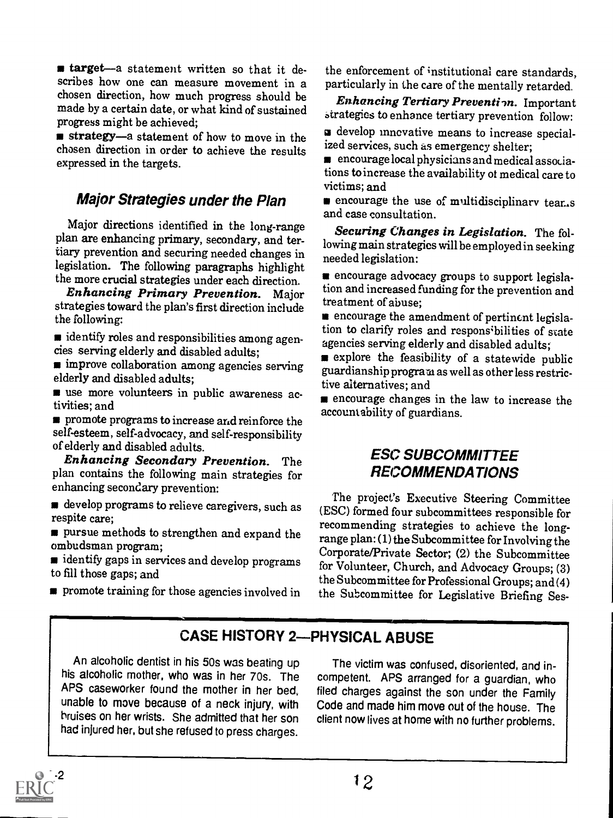**starget**—a statement written so that it describes how one can measure movement in a chosen direction, how much progress should be made by a certain date, or what kind of sustained progress might be achieved;

strategy-a statement of how to move in the chosen direction in order to achieve the results expressed in the targets.

### Major Strategies under the Plan

Major directions identified in the long-range plan are enhancing primary, secondary, and tertiary prevention and securing needed changes in legislation. The following paragraphs highlight the more crucial strategies under each direction.

Enhancing Primary Prevention. Major strategies toward the plan's first direction include the following:

identify roles and responsibilities among agencies serving elderly and disabled adults;

**m** improve collaboration among agencies serving elderly and disabled adults;

use more volunteers in public awareness activities; and

**n** promote programs to increase and reinforce the self-esteem, self-advocacy, and self-responsibility of elderly and disabled adults.

Enhancing Secondary Prevention. The plan contains the following main strategies for enhancing secondary prevention:

develop programs to relieve caregivers, such as respite care;

s pursue methods to strengthen and expand the ombudsman program;

dentify gaps in services and develop programs to fill those gaps; and

**promote training for those agencies involved in** 

the enforcement of institutional care standards, particularly in the care of the mentally retarded.

Enhancing Tertiary Prevention. Important strategies to enhance tertiary prevention follow:

a develop innovative means to increase specialized services, such as emergency shelter;

encourage local physicians and medical associations to increase the availability of medical care to victims; and

**n** encourage the use of multidisciplinary tear...s and case consultation.

Securing Changes in Legislation. The following main strategies will be employed in seeking needed legislation:

encourage advocacy groups to support legislation and increased funding for the prevention and treatment of abuse;

encourage the amendment of pertinent legislation to clarify roles and responsibilities of state agencies serving elderly and disabled adults;

explore the feasibility of a statewide public guardianship program as well as other less restrictive alternatives; and

encourage changes in the law to increase the accountability of guardians.

### ESC SUBCOMMITTEE **RECOMMENDATIONS**

The project's Executive Steering Committee (ESC) formed four subcommittees responsible for recommending strategies to achieve the longrange plan: (1) the Subcommittee for Involving the Corporate/Private Sector; (2) the Subcommittee for Volunteer, Church, and Advocacy Groups; (3) the Subcommittee for Professional Groups; and (4) the Subcommittee for Legislative Briefing Ses-

## **CASE HISTORY 2-PHYSICAL ABUSE**

An alcoholic dentist in his 50s was beating up his alcoholic mother, who was in her 70s. The APS caseworker found the mother in her bed, unable to move because of a neck injury, with bruises on her wrists. She admitted that her son had injured her, but she refused to press charges.

The victim was confused, disoriented, and incompetent. APS arranged for a guardian, who filed charges against the son under the Family Code and made him move out of the house. The client now lives at home with no further problems.

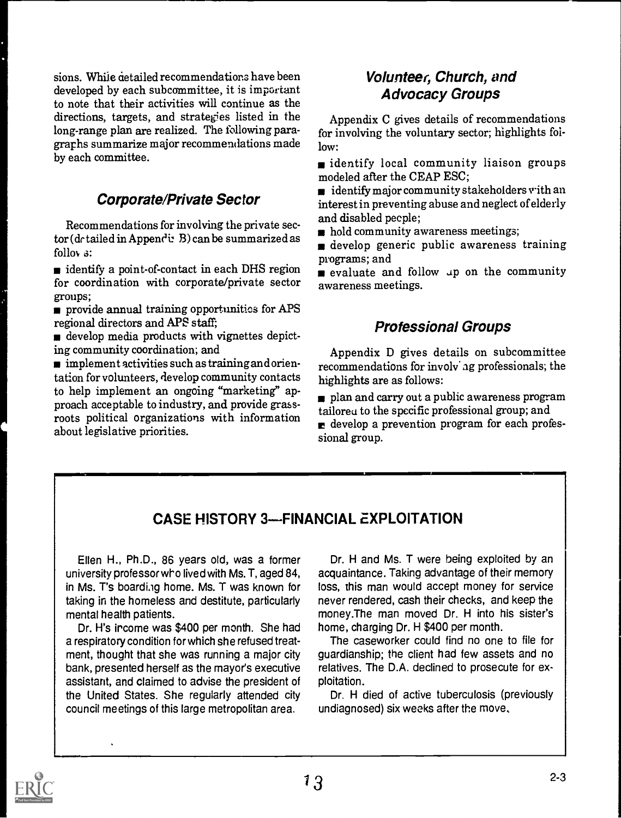sions. While detailed recommendations have been developed by each subcommittee, it is important to note that their activities will continue as the directions, targets, and strategies listed in the long-range plan are realized. The following paragraphs summarize major recommendations made by each committee.

## Corporate/Private Sector

Recommendations for involving the private sec $tor (dctailed in Appendix B) can be summarized as$ follov a:

identify a point-of-contact in each DHS region for coordination with corporate/private sector groups;

provide annual training opportunities for APS regional directors and APS staff;

develop media products with vignettes depicting community coordination; and

 $\blacksquare$  implement activities such as training and orientation for volunteers, develop community contacts to help implement an ongoing "marketing" approach acceptable to industry, and provide grassroots political organizations with information about legislative priorities.

## Volunteer, Church, and Advocacy Groups

Appendix C gives details of recommendations for involving the voluntary sector; highlights follow:

dentify local community liaison groups modeled after the CEAP ESC;

 $\blacksquare$  identify major community stakeholders with an interest in preventing abuse and neglect of elderly and disabled pecple;

hold community awareness meetings;

develop generic public awareness training programs; and

evaluate and follow up on the community awareness meetings.

## Professional Groups

Appendix D gives details on subcommittee recommendations for involv'ag professionals; the highlights are as follows:

plan and carry out a public awareness program tailored to the specific professional group; and  $\blacksquare$  develop a prevention program for each professional group.

## CASE HISTORY 3-FINANCIAL EXPLOITATION

Ellen H., Ph.D., 86 years old, was a former university professor who lived with Ms. T, aged 84, in Ms. T's boarding home. Ms. T was known for taking in the homeless and destitute, particularly mental health patients.

Dr. H's ircome was \$400 per month. She had a respiratory condition for which she refused treatment, thought that she was running a major city bank, presented herself as the mayor's executive assistant, and claimed to advise the president of the United States. She regularly attended city council meetings of this large metropolitan area.

Dr. H and Ms. T were being exploited by an acquaintance. Taking advantage of their memory loss, this man would accept money for service never rendered, cash their checks, and keep the money.The man moved Dr. H into his sister's home, charging Dr. H \$400 per month.

The caseworker could find no one to file for guardianship; the client had few assets and no relatives. The D.A. declined to prosecute for exploitation.

Dr. H died of active tuberculosis (previously undiagnosed) six weeks after the move.

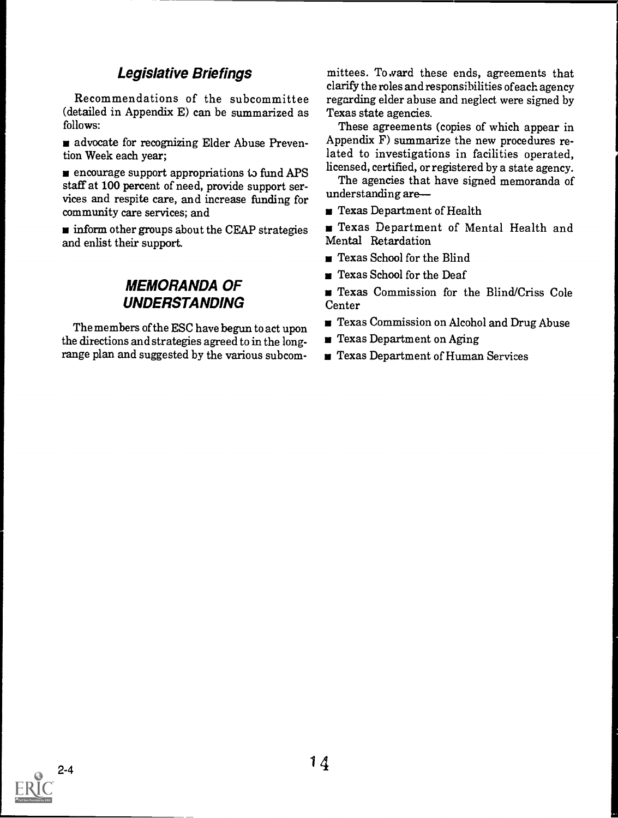## Legislative Briefings

Recommendations of the subcommittee (detailed in Appendix E) can be summarized as follows:

advocate for recognizing Elder Abuse Prevention Week each year;

 $\blacksquare$  encourage support appropriations to fund APS staff at 100 percent of need, provide support services and respite care, and increase funding for community care services; and

inform other groups about the CEAP strategies and enlist their support.

## MEMORANDA OF UNDERSTANDING

The members of the ESC have begun to act upon the directions and strategies agreed to in the longrange plan and suggested by the various subcom-

mittees. To ward these ends, agreements that clarify the roles and responsibilities ofeach agency regarding elder abuse and neglect were signed by Texas state agencies.

These agreements (copies of which appear in Appendix F) summarize the new procedures related to investigations in facilities operated, licensed, certified, or registered by a state agency.

The agencies that have signed memoranda of understanding are

Texas Department of Health

Texas Department of Mental Health and Mental Retardation

- Texas School for the Blind
- Texas School for the Deaf  $\blacksquare$

Texas Commission for the Blind/Criss Cole **Center** 

- Texas Commission on Alcohol and Drug Abuse
- $\blacksquare$  Texas Department on Aging
- Texas Department of Human Services

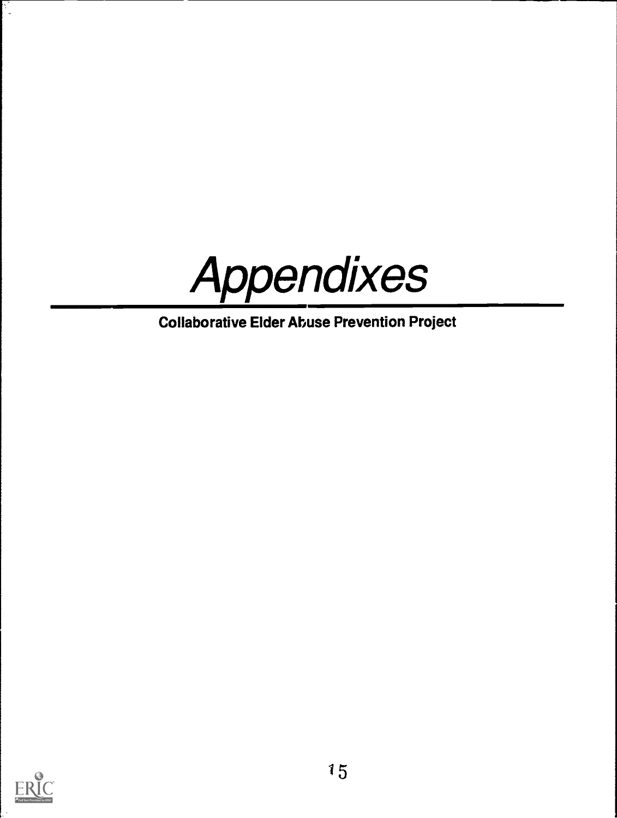

Collaborative Elder Abuse Prevention Project



P.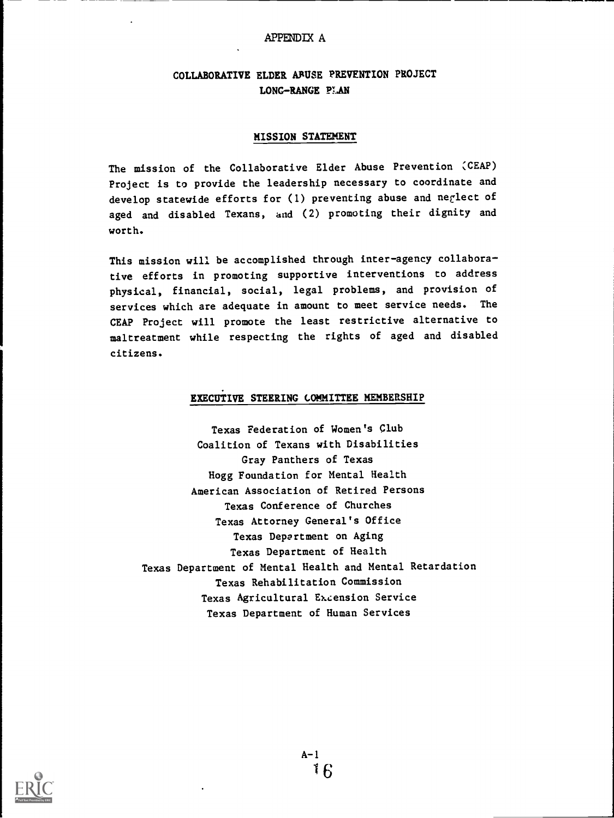#### APPENDIX A

#### COLLABORATIVE ELDER ABUSE PREVENTION PROJECT LONG-RANGE PLAN

#### MISSION STATEMENT

The mission of the Collaborative Elder Abuse Prevention CEAP) Project is to provide the leadership necessary to coordinate and develop statewide efforts for (1) preventing abuse and neglect of aged and disabled Texans, and (2) promoting their dignity and worth.

This mission will be accomplished through inter-agency collaborative efforts in promoting supportive interventions to address physical, financial, social, legal problems, and provision of services which are adequate in amount to meet service needs. The CEAP Project will promote the least restrictive alternative to maltreatment while respecting the rights of aged and disabled citizens.

#### EXECUTIVE STEERING COMMITTEE MEMBERSHIP

Texas Federation of Women's Club Coalition of Texans with Disabilities Gray Panthers of Texas Hogg Foundation for Mental Health American Association of Retired Persons Texas Conference of Churches Texas Attorney General's Office Texas Department on Aging Texas Department of Health Texas Department of Mental Health and Mental Retardation Texas Rehabilitation Commission Texas Agricultural Extension Service Texas Department of Human Services

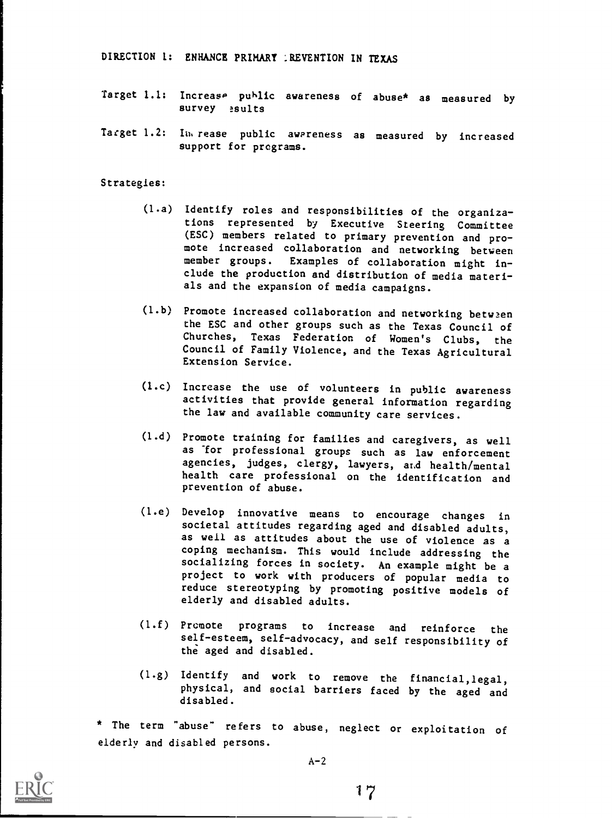DIRECTION 1: ENHANCE PRIMARY : REVENTION IN TEXAS

- Target 1.1: Increase public awareness of abuse\* as measured by survey esults
- Target 1.2: Ia,rease public awareness as measured by increased support for programs.

Strategies:

- (1.a) Identify roles and responsibilities of the organizations represented by Executive Steering Committee (ESC) members related to primary prevention and promote increased collaboration and networking between member groups. Examples of collaboration might include the production and distribution of media materials and the expansion of media campaigns.
- (1.b) Promote increased collaboration and networking between the ESC and other groups such as the Texas Council of Churches, Texas Federation of Women's Clubs, the Council of Family Violence, and the Texas Agricultural Extension Service.
- (1.c) Increase the use of volunteers in public awareness activities that provide general information regarding the law and available community care services.
- (1.d) Promote training for families and caregivers, as well as for professional groups such as law enforcement agencies, judges, clergy, lawyers, and health/mental health care professional on the identification and prevention of abuse.
- (1.e) Develop innovative means to encourage changes in societal attitudes regarding aged and disabled adults, as well as attitudes about the use of violence as a coping mechanism. This would include addressing the socializing forces in society. An example might be a project to work with producers of popular media to reduce stereotyping by promoting positive models of elderly and disabled adults.
- (1.f) Promote programs to increase and reinforce the self-esteem, self-advocacy, and self responsibility of the aged and disabled.
- (1.g) Identify and work to remove the financial,legal, physical, and social barriers faced by the aged and disabled.

\* The term "abuse" refers to abuse, neglect or exploitation of elderly and disabled persons.

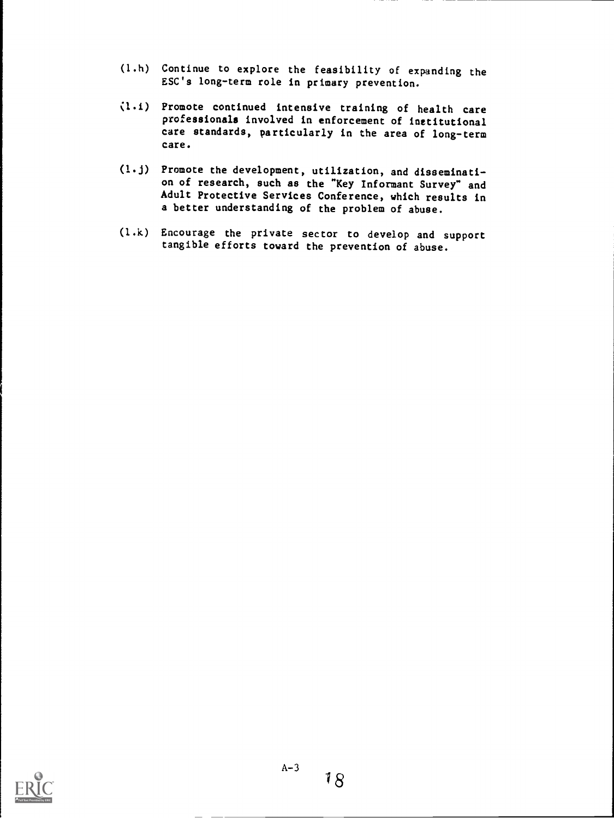- (1.h) Continue to explore the feasibility of expanding the ESC's long-term role in primary prevention.
- (1.i) Promote continued intensive training of health care professionals involved in enforcement of institutional care standards, particularly in the area of long-term care.
- (1.j) Promote the development, utilization, and dissemination of research, such as the "Key Informant Survey" and Adult Protective Services Conference, which results in a better understanding of the problem of abuse.
- (1.k) Encourage the private sector to develop and support tangible efforts toward the prevention of abuse.

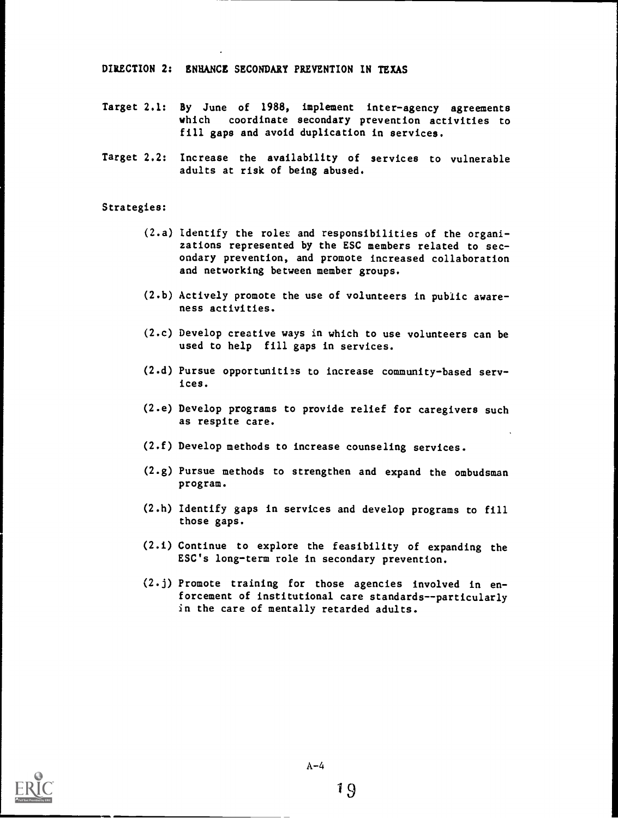DIRECTION 2: ENHANCE SECONDARY PREVENTION IN TEXAS

- Target 2.1: By June of 1988, implement inter-agency agreements which coordinate secondary prevention activities to fill gaps and avoid duplication in services.
- Target 2.2: Increase the availability of services to vulnerable adults at risk of being abused.

#### Strategies:

- (2.a) Identify the roles and responsibilities of the organizations represented by the ESC members related to secondary prevention, and promote increased collaboration and networking between member groups.
- (2.b) Actively promote the use of volunteers in public awareness activities.
- (2.c) Develop creative ways in which to use volunteers can be used to help fill gaps in services.
- (2.d) Pursue opportunities to increase community-based services.
- (2.e) Develop programs to provide relief for caregivers such as respite care.
- (2.f) Develop methods to increase counseling services.
- (2.g) Pursue methods to strengthen and expand the ombudsman program.
- (2.h) Identify gaps in services and develop programs to fill those gaps.
- (2.i) Continue to explore the feasibility of expanding the ESC's long-term role in secondary prevention.
- (2.j) Promote training for those agencies involved in en forcement of institutional care standards--particularly in the care of mentally retarded adults.

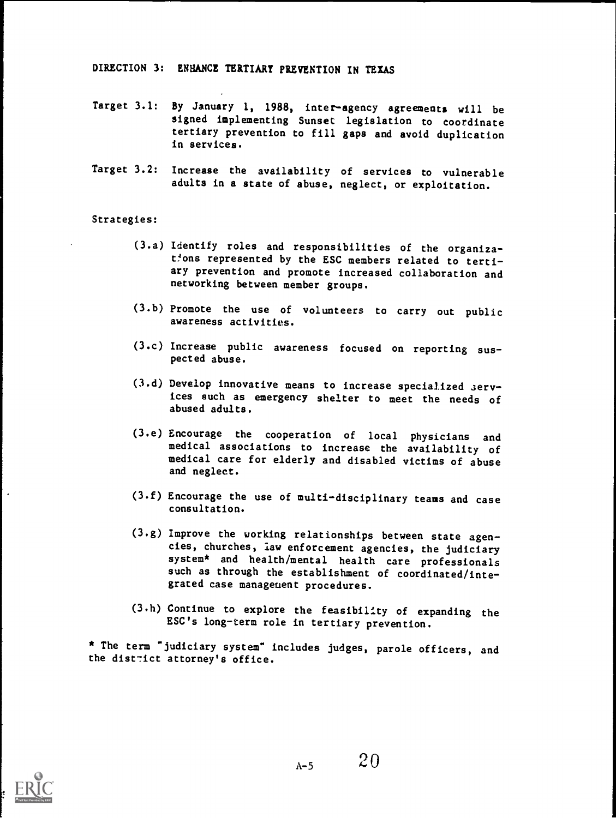#### DIRECTION 3: ENHANCE TERTIARY PREVENTION IN TEXAS

- Target 3.1: By January 1, 1988, inter-agency agreements will be signed implementing Sunset legislation to coordinate tertiary prevention to fill gaps and avoid duplication in services.
- Target 3.2: Increase the availability of services to vulnerable adults in a state of abuse, neglect, or exploitation.

#### Strategies:

- (3.a) Identify roles and responsibilities of the organizations represented by the ESC members related to tertiary prevention and promote increased collaboration and networking between member groups.
- (3.b) Promote the use of volunteers to carry out public awareness activities.
- (3.c) Increase public awareness focused on reporting suspected abuse.
- (3.d) Develop innovative means to increase specialized serv ices such as emergency shelter to meet the needs of abused adults.
- (3.e) Encourage the cooperation of local physicians and medical associations to increase the availability of medical care for elderly and disabled victims of abuse and neglect.
- (3.f) Encourage the use of multi-disciplinary teams and case consultation.
- (3.g) Improve the working relationships between state agencies, churches, law enforcement agencies, the judiciary system\* and health/mental health care professionals such as through the establishment of coordinated/integrated case manageuent procedures.
- (3.h) Continue to explore the feasibility of expanding the ESC's long-term role in tertiary prevention.

\* The term "judiciary system" includes judges, parole officers, and the district attorney's office.

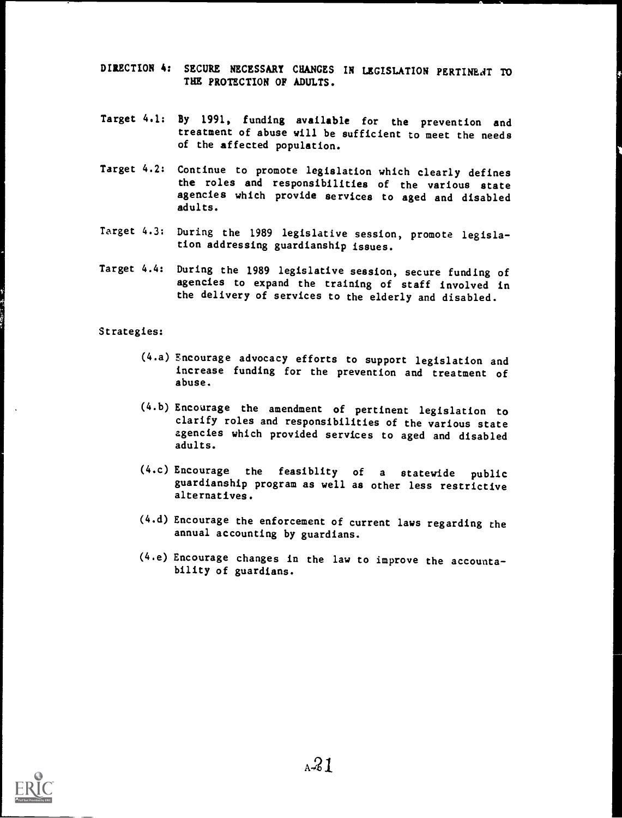DIRECTION 4: SECURE NECESSARY CHANGES IN LEGISLATION PERTINENT TO THE PROTECTION OF ADULTS.

- Target 4.1: By 1991, funding available for the prevention and treatment of abuse will be sufficient to meet the needs of the affected population.
- Target 4.2: Continue to promote legislation which clearly defines the roles and responsibilities of the various state agencies which provide services to aged and disabled adults.
- Target 4.3: During the 1989 legislative session, promote legislation addressing guardianship issues.
- Target 4.4: During the 1989 legislative session, secure funding of agencies to expand the training of staff involved in the delivery of services to the elderly and disabled.

#### Strategies:

- (4.a) Encourage advocacy efforts to support legislation and increase funding for the prevention and treatment of abuse.
- (4.b) Encourage the amendment of pertinent legislation to clarify roles and responsibilities of the various state agencies which provided services to aged and disabled adults.
- (4.c) Encourage the feasiblity of <sup>a</sup> statewide public guardianship program as well as other less restrictive alternatives.
- (4.d) Encourage the enforcement of current laws regarding the annual accounting by guardians.
- (4.e) Encourage changes in the law to improve the accountability of guardians.

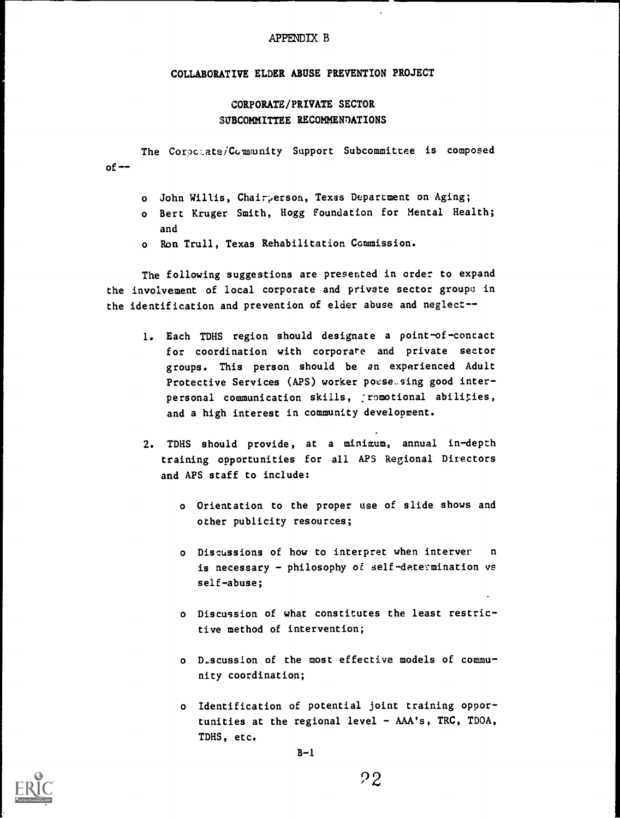#### APPENDIX B

#### COLLABORATIVE ELDER ABUSE PREVENTION PROJECT

#### CORPORATE/PRIVATE SECTOR SUBCOMMITTEE RECOMMENTATIONS

 $of --$ The Corpolate/Community Support Subcommittee is composed

- o John Willis, Chairperson, Texas Department on Aging;
- o Bert Kruger Smith, Hogg Foundation for Mental Health; and
- o Ron Trull, Texas Rehabilitation Commission.

The following suggestions are presented in order to expand the involvement of local corporate and private sector groups in the identification and prevention of elder abuse and neglect--

- 1. Each TDHS region should designate a point-of-contact for coordination with corporate and private sector groups. This person should be an experienced Adult Protective Services (APS) worker possessing good interpersonal communication skills, :romotional abilities, and a high interest in community development.
- 2. TDHS should provide, at a minimum, annual in-depth training opportunities for all APS Regional Directors and APS staff to include:
	- o Orientation to the proper use of slide shows and other publicity resources;
	- o Discussions of how to interpret when interver n is necessary - philosophy of self-determination vs self-abuse;
	- o Discussion of what constitutes the least restrictive method of intervention;
	- o Discussion of the most effective models of community coordination;
	- o Identification of potential joint training opportunities at the regional level - AAA's, TRC, TDOA, TDHS, etc.



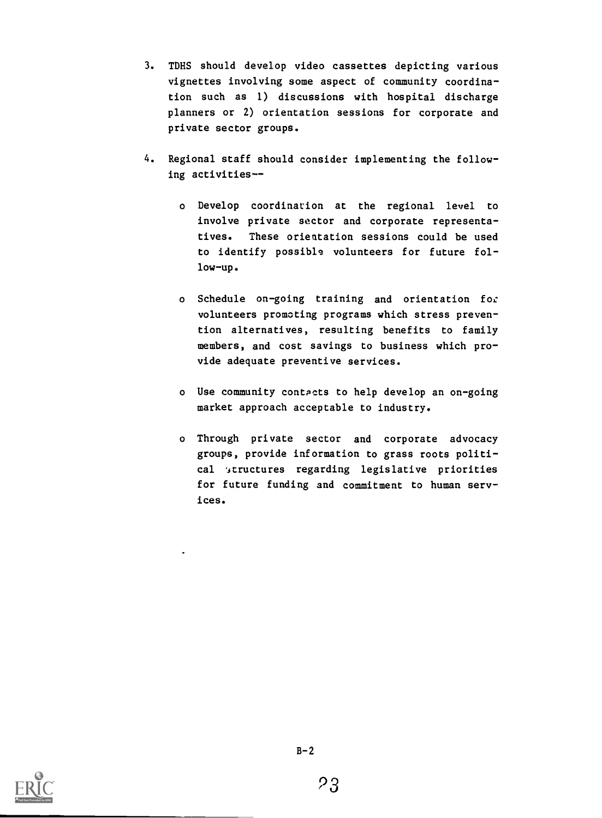- 3. TDHS should develop video cassettes depicting various vignettes involving some aspect of community coordination such as 1) discussions with hospital discharge planners or 2) orientation sessions for corporate and private sector groups.
- 4. Regional staff should consider implementing the following activities-
	- o Develop coordination at the regional level to involve private sector and corporate representatives. These orientation sessions could be used to identify possible volunteers for future follow-up.
	- o Schedule on-going training and orientation for volunteers promoting programs which stress prevention alternatives, resulting benefits to family members, and cost savings to business which provide adequate preventive services.
	- o Use community contacts to help develop an on-going market approach acceptable to industry.
	- o Through private sector and corporate advocacy groups, provide information to grass roots political 'structures regarding legislative priorities for future funding and commitment to human services.

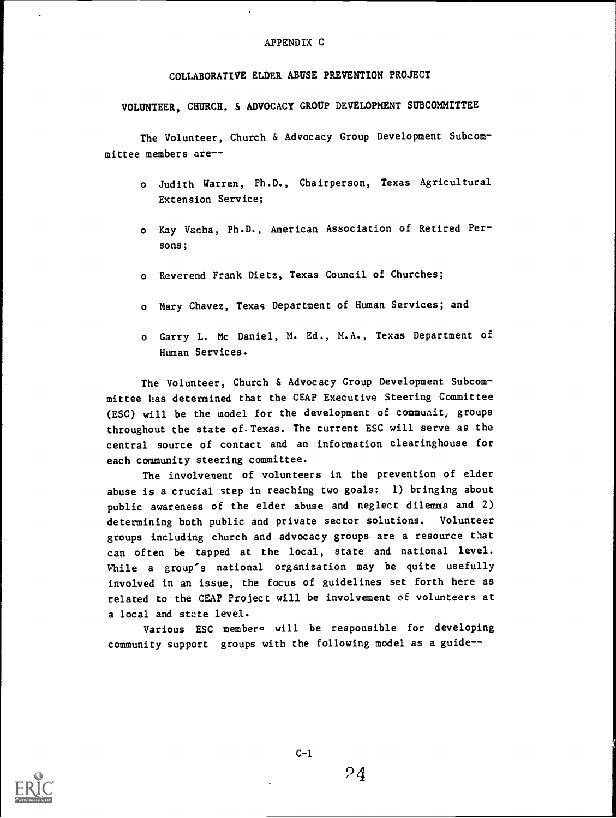#### APPENDIX C

#### COLLABORATIVE ELDER ABUSE PREVENTION PROJECT

VOLUNTEER, CHURCH, & ADVOCACY GROUP DEVELOPMENT SUBCOMMITTEE

The Volunteer, Church & Advocacy Group Development Subcommittee members are--

- <sup>o</sup> Judith Warren, Ph.D., Chairperson, Texas Agricultural Extension Service;
- o Kay Vacha, Ph.D., American Association of Retired Persons;
- o Reverend Frank Dietz, Texas Council of Churches;
- o Mary Chavez, Texas Department of Human Services; and
- o Garry L. Mc Daniel, M. Ed., M.A., Texas Department of Human Services.

The Volunteer, Church & Advocacy Group Development Subcommittee has determined that the CEAP Executive Steering Committee (ESC) will be the model for the development of commuait, groups throughout the state of.Texas. The current ESC will serve as the central source of contact and an information clearinghouse for each community steering committee.

The involvement of volunteers in the prevention of elder abuse is a crucial step in reaching two goals: 1) bringing about public awareness of the elder abuse and neglect dilemma and 2) determining both public and private sector solutions. Volunteer groups including church and advocacy groups are a resource that can often be tapped at the local, state and national level. While <sup>a</sup> group's national organization may be quite usefully involved in an issue, the focus of guidelines set forth here as related to the CEAP Project will be involvement of volunteers at a local and state level.

Various ESC members will be responsible for developing community support groups with the following model as a guide--

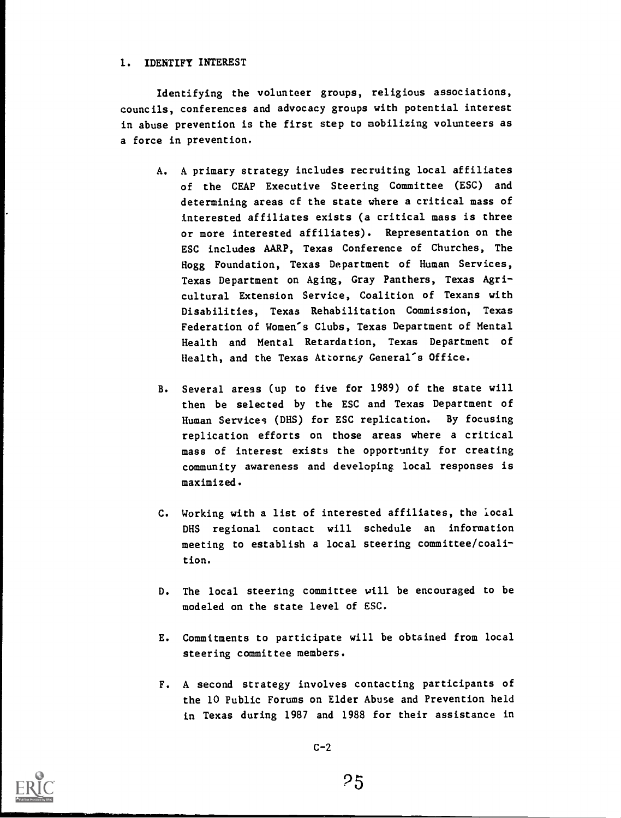#### 1. IDENTIFY INTEREST

Identifying the volunteer groups, religious associations, councils, conferences and advocacy groups with potential interest in abuse prevention is the first step to mobilizing volunteers as a force in prevention.

- A. A primary strategy includes recruiting local affiliates of the CEAP Executive Steering Committee (ESC) and determining areas of the state where a critical mass of interested affiliates exists (a critical mass is three or more interested affiliates). Representation on the ESC includes AARP, Texas Conference of Churches, The Hogg Foundation, Texas Department of Human Services, Texas Department on Aging, Gray Panthers, Texas Agricultural Extension Service, Coalition of Texans with Disabilities, Texas Rehabilitation Commission, Texas Federation of Women's Clubs, Texas Department of Mental Health and Mental Retardation, Texas Department of Health, and the Texas Attorney General's Office.
- B. Several areas (up to five for 1989) of the state will then be selected by the ESC and Texas Department of Human Services (DHS) for ESC replication. By focusing replication efforts on those areas where a critical mass of interest exists the opportunity for creating community awareness and developing local responses is maximized.
- C. Working with a list of interested affiliates, the local DHS regional contact will schedule an information meeting to establish a local steering committee/coalition.
- D. The local steering committee will be encouraged to be modeled on the state level of ESC.
- E. Commitments to participate will be obtained from local steering committee members.
- F. A second strategy involves contacting participants of the 10 Public Forums on Elder Abuse and Prevention held in Texas during 1987 and 1988 for their assistance in



25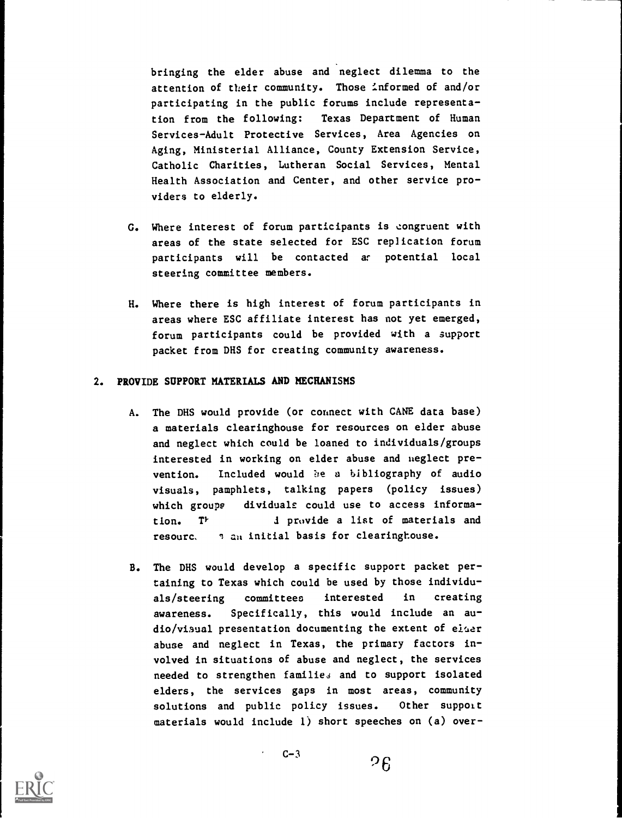bringing the elder abuse and neglect dilemma to the attention of their community. Those informed of and/or participating in the public forums include representation from the following: Texas Department of Human Services-Adult Protective Services, Area Agencies on Aging, Ministerial Alliance, County Extension Service, Catholic Charities, Lutheran Social Services, Mental Health Association and Center, and other service providers to elderly.

- G. Where interest of forum participants is congruent with areas of the state selected for ESC replication forum participants will be contacted at potential local steering committee members.
- H. Where there is high interest of forum participants in areas where ESC affiliate interest has not yet emerged, forum participants could be provided with a support packet from DHS for creating community awareness.

#### 2. PROVIDE SUPPORT MATERIALS AND MECHANISMS

- A. The DHS would provide (or connect with CANE data base) a materials clearinghouse for resources on elder abuse and neglect which could be loaned to individuals/groups interested in working on elder abuse and neglect prevention. Included would be a bibliography of audio visuals, pamphlets, talking papers (policy issues) which groups dividuals could use to access information. T<sup>P</sup> d provide a list of materials and resourc. 3 an initial basis for clearinghouse.
- B. The DHS would develop a specific support packet pertaining to Texas which could be used by those individuals/steering committees interested in creating awareness. Specifically, this would include an audio/visual presentation documenting the extent of elaer abuse and neglect in Texas, the primary factors involved in situations of abuse and neglect, the services needed to strengthen families and to support isolated elders, the services gaps in most areas, community solutions and public policy issues. Other support materials would include 1) short speeches on (a) over-



 $C-3$ 

 $26$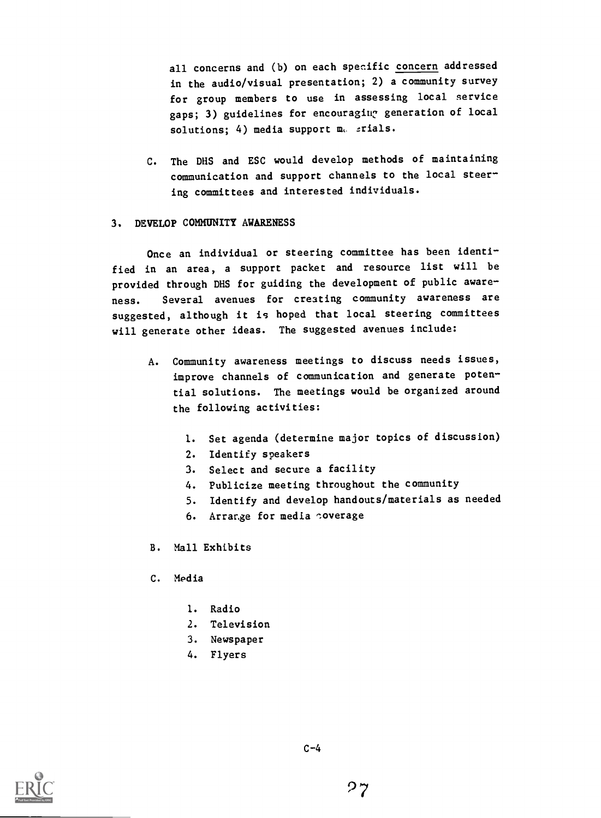all concerns and (b) on each specific concern addressed in the audio/visual presentation; 2) a community survey for group members to use in assessing local service gaps; 3) guidelines for encouraging generation of local solutions;  $4)$  media support m. srials.

C. The DHS and ESC would develop methods of maintaining communication and support channels to the local steering committees and interested individuals.

#### 3. DEVELOP COMMUNITY AWARENESS

Once an individual or steering committee has been identified in an area, <sup>a</sup> support packet and resource list will be provided through DHS for guiding the development of public awareness. Several avenues for creating community awareness are suggested, although it is hoped that local steering committees will generate other ideas. The suggested avenues include:

- A. Community awareness meetings to discuss needs issues, improve channels of communication and generate potential solutions. The meetings would be organized around the following activities:
	- 1. Set agenda (determine major topics of discussion)
	- 2. Identify speakers
	- 3. Select and secure a facility
	- 4. Publicize meeting throughout the community
	- 5. Identify and develop handouts/materials as needed
	- 6. Arrange for media coverage
- B. Mall Exhibits
- C. Media
	- 1. Radio
	- 2. Television
	- 3. Newspaper
	- 4. Flyers



 $C-4$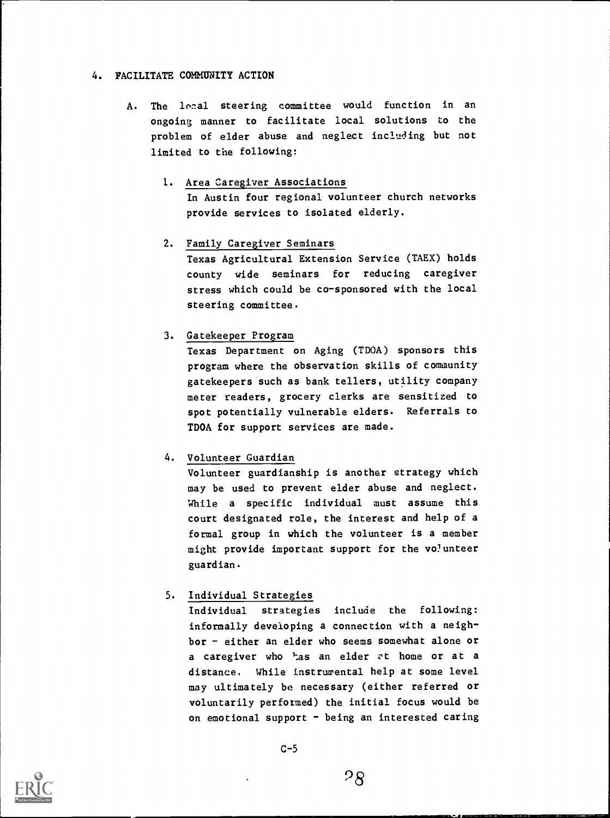#### 4. FACILITATE COMMUNITY ACTION

- A. The local steering committee would function in an ongoing manner to facilitate local solutions to the problem of elder abuse and neglect including but not limited to the following:
	- 1. Area Caregiver Associations In Austin four regional volunteer church networks provide services to isolated elderly.
	- 2. Family Caregiver Seminars

Texas Agricultural Extension Service (TAEX) holds county wide seminars for reducing caregiver stress which could be co-sponsored with the local steering committee.

#### 3. Gatekeeper Program

Texas Department on Aging (TDOA) sponsors this program where the observation skills of community gatekeepers such as bank tellers, utility company meter readers, grocery clerks are sensitized to spot potentially vulnerable elders. Referrals to TDOA for support services are made.

#### 4. Volunteer Guardian

Volunteer guardianship is another strategy which may be used to prevent elder abuse and neglect. While a specific individual must assume this court designated role, the interest and help of a formal group in which the volunteer is a member might provide important support for the volunteer guardian.

#### 5. Individual Strategies

Individual strategies include the following: informally developing a connection with a neighbor - either an elder who seems somewhat alone or a caregiver who has an elder  $ct$  home or at a distance. While instrumental help at some level may ultimately be necessary (either referred or voluntarily performed) the initial focus would be on emotional support - being an interested caring

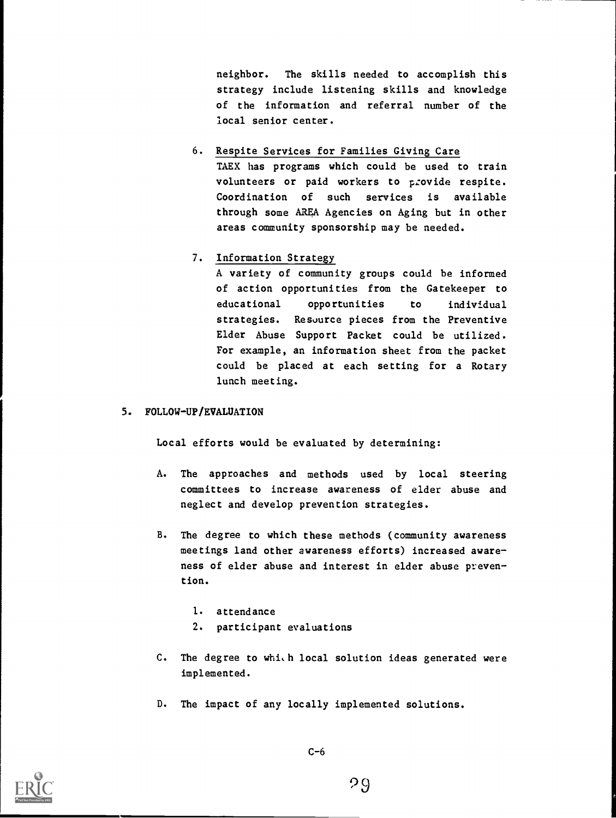neighbor. The skills needed to accomplish this strategy include listening skills and knowledge of the information and referral number of the local senior center.

6. Respite Services for Families Giving Care TAEX has programs which could be used to train volunteers or paid workers to provide respite. Coordination of such services is available through some AREA Agencies on Aging but in other areas community sponsorship may be needed.

#### 7. Information Strategy

A variety of community groups could be informed of action opportunities from the Gatekeeper to educational opportunities to individual strategies. Resource pieces from the Preventive Elder Abuse Support Packet could be utilized. For example, an information sheet from the packet could be placed at each setting for a Rotary lunch meeting.

#### 5. FOLLOW-UP/EVALUATION

Local efforts would be evaluated by determining:

- A. The approaches and methods used by local steering committees to increase awareness of elder abuse and neglect and develop prevention strategies.
- B. The degree to which these methods (community awareness meetings land other awareness efforts) increased aware ness of elder abuse and interest in elder abuse preven tion.
	- 1. attendance
	- 2. participant evaluations
- C. The degree to which local solution ideas generated were implemented.
- D. The impact of any locally implemented solutions.

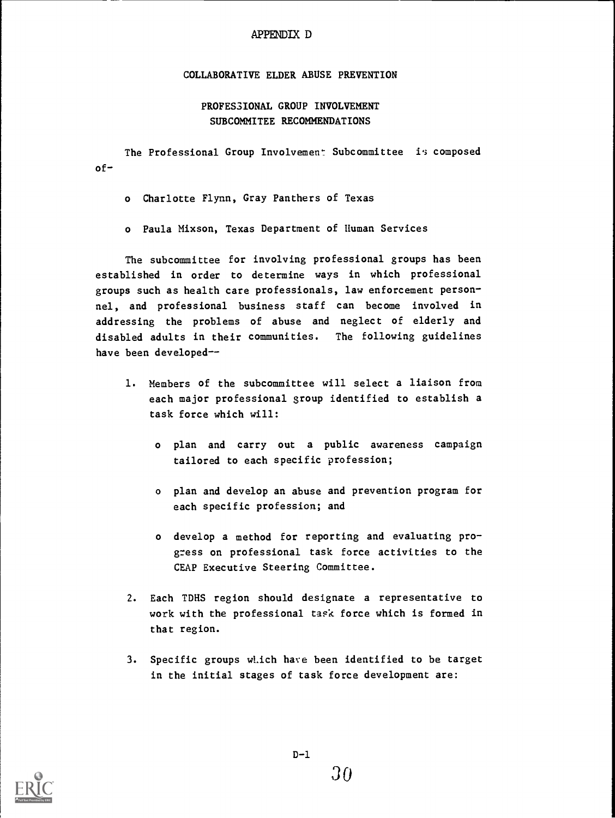#### APPENDIX D

#### COLLABORATIVE ELDER ABUSE PREVENTION

#### PROFESSIONAL GROUP INVOLVEMENT SUBCOMMITEE RECOMMENDATIONS

of-The Professional Group Involvement Subcommittee is composed

o Charlotte Flynn, Gray Panthers of Texas

o Paula Mixson, Texas Department of Human Services

The subcommittee for involving professional groups has been established in order to determine ways in which professional groups such as health care professionals, law enforcement personnel, and professional business staff can become involved in addressing the problems of abuse and neglect of elderly and disabled adults in their communities. The following guidelines have been developed--

- 1. Members of the subcommittee will select a liaison from each major professional group identified to establish a task force which will:
	- o plan and carry out a public awareness campaign tailored to each specific profession;
	- o plan and develop an abuse and prevention program for each specific profession; and
	- o develop a method for reporting and evaluating progress on professional task force activities to the CEAP Executive Steering Committee.
- 2. Each TDHS region should designate a representative to work with the professional task force which is formed in that region.
- 3. Specific groups wLich have been identified to be target in the initial stages of task force development are:

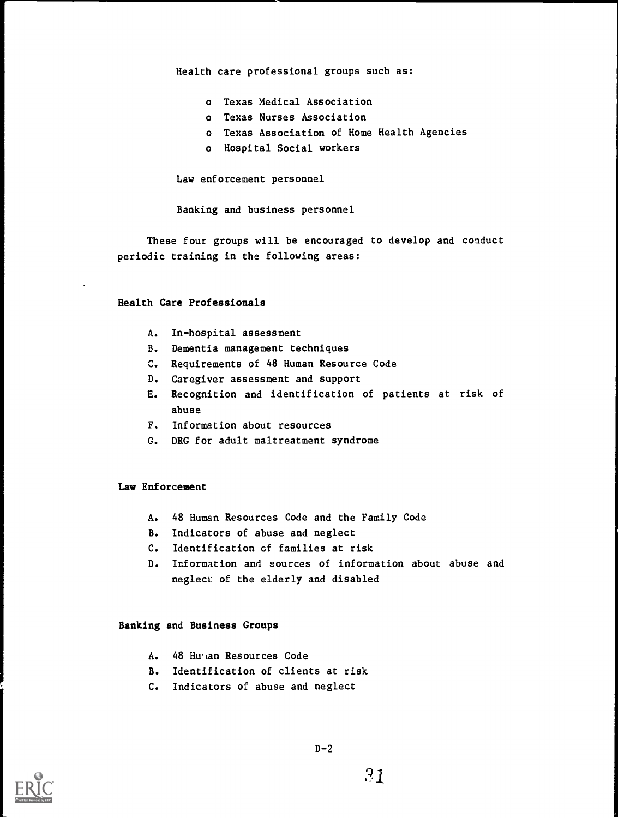Health care professional groups such as:

- o Texas Medical Association
- o Texas Nurses Association
- o Texas Association of Home Health Agencies
- o Hospital Social workers

Law enforcement personnel

Banking and business personnel

These four groups will be encouraged to develop and conduct periodic training in the following areas:

#### Health Care Professionals

- A. In-hospital assessment
- B. Dementia management techniques
- C. Requirements of 48 Human Resource Code
- D. Caregiver assessment and support
- E. Recognition and identification of patients at risk of abuse
- F. Information about resources
- G. DRG for adult maltreatment syndrome

#### Law Enforcement

- A. 48 Human Resources Code and the Family Code
- B. Indicators of abuse and neglect
- C. Identification cf families at risk
- D. Information and sources of information about abuse and neglect: of the elderly and disabled

#### Banking and Business Groups

- A. 48 Hu<sub>i</sub>an Resources Code
- B. Identification of clients at risk
- C. Indicators of abuse and neglect

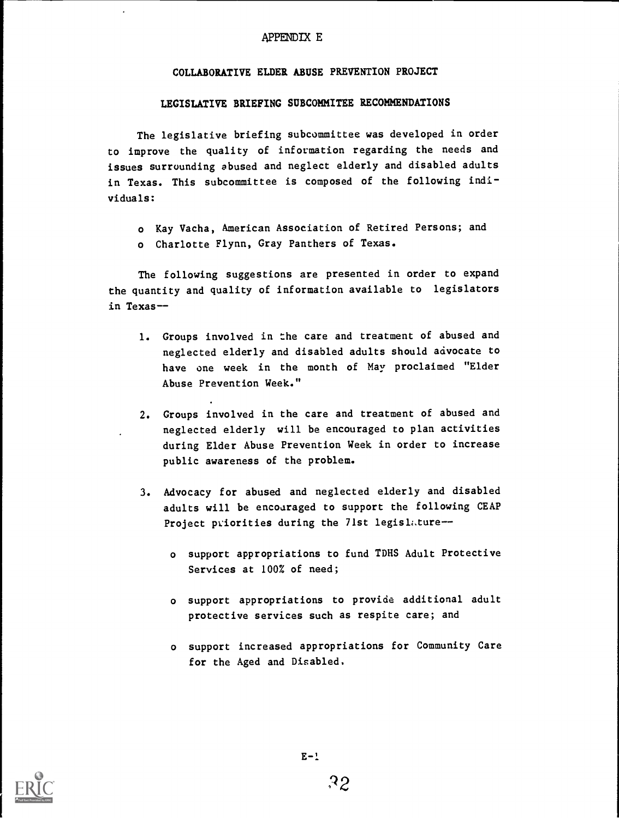#### APPENDIX E

#### COLLABORATIVE ELDER ABUSE PREVENTION PROJECT

#### LEGISLATIVE BRIEFING SUBCOMMITEE RECOMMENDATIONS

The legislative briefing subcommittee was developed in order to improve the quality of information regarding the needs and issues surrounding abused and neglect elderly and disabled adults in Texas. This subcommittee is composed of the following individuals:

- o Kay Vacha, American Association of Retired Persons; and
- o Charlotte Flynn, Gray Panthers of Texas.

The following suggestions are presented in order to expand the quantity and quality of information available to legislators in Texas--

- 1. Groups involved in the care and treatment of abused and neglected elderly and disabled adults should advocate to have one week in the month of May proclaimed "Elder Abuse Prevention Week."
- 2. Groups involved in the care and treatment of abused and neglected elderly will be encouraged to plan activities during Elder Abuse Prevention Week in order to increase public awareness of the problem.
- 3. Advocacy for abused and neglected elderly and disabled adults will be encouraged to support the following CEAP Project priorities during the 71st legislature
	- o support appropriations to fund TDHS Adult Protective Services at 100% of need;
	- o support appropriations to provide additional adult protective services such as respite care; and
	- o support increased appropriations for Community Care for the Aged and Disabled,

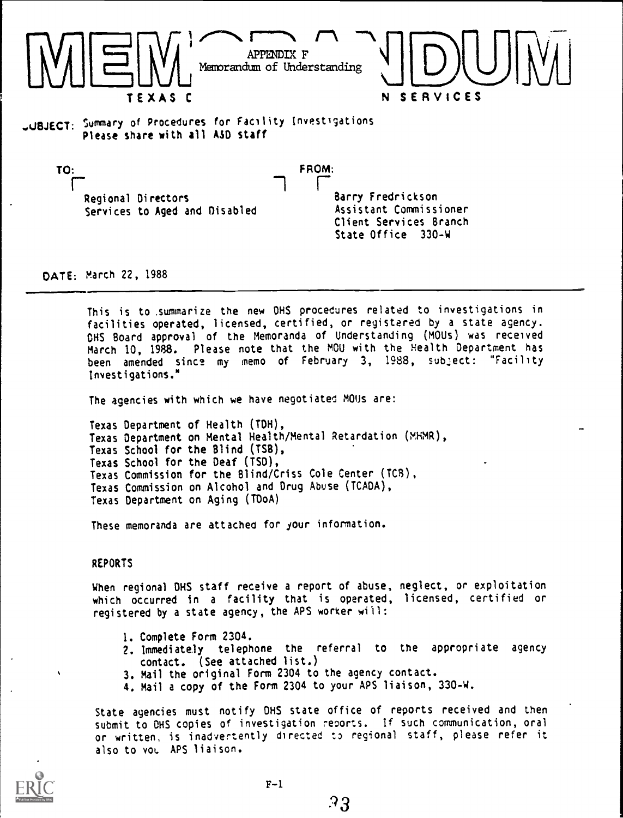

.UBJECT: Summary of Procedures for Facility Investigations Please share with all ASO staff

TO:<br>
FROM:<br>
Regional Directors<br>
Regional Directors<br>
Regional Directors Regional Directors Services to Aged and Disabled

Barry Fredrickson Assistant Commissioner Client Services Branch State Office 330-W

DATE: March 22, 1988

This is to .summarize the new OHS procedures related to investigations in facilities operated, licensed, certified, or registered by a state agency. OHS Board approval of the Memoranda of Understanding (MOUs) was received March 10, 1988. Please note that the MOU with the Health Department has been amended since my memo of February 3, 1988, subject: "Facility Investigations.\*

The agencies with which we have negotiated MOUs are:

Texas Department of Health (TOH), Texas Department on Mental Health/Mental Retardation (MHMR), Texas School for the Blind (TSB), Texas School for the Deaf (ISO), Texas Commission for the Blind/Criss Cole Center (TC8), Texas Commission on Alcohol and Drug Abuse (TCADA), Texas Department on Aging (TDoA)

These memoranda are attached for your information.

REPORTS

When regional OHS staff receive a report of abuse, neglect, or exploitation which occurred in <sup>a</sup> facility that is operated, licensed, certified or registered by a state agency, the APS worker will:

- 1. Complete Form 2304.
- 2. Immediately telephone the referral to the appropriate agency contact. (See attached list.)
- 3. Mail the original Form 2304 to the agency contact.
- 4. Mail a copy of the Form 2304 to your APS liaison, 330-w.

State agencies must notify DHS state office of reports received and then submit to OHS copies of investigation reoorts. If such communication, oral or written, is inadvertently directed t3 regional staff, please refer it also to vol. APS liaison.

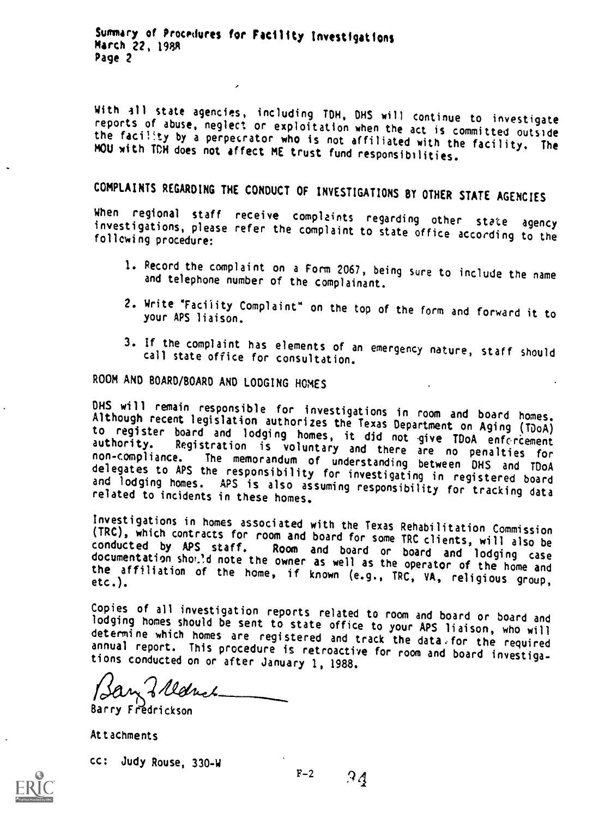Summary of Procedures for Facility Investigations<br>March 22, 1988 Page 2

With all state agencies, including TDH, DHS will continue to investigate<br>reports of abuse, neglect or exploitation when the act is committed outside<br>the facility by a perpecrator who is not affiliated with the facility. Th

COMPLAINTS REGARDING THE CONDUCT OF INVESTIGATIONS BY OTHER STATE AGENCIES<br>When regional staff receive complaints regarding other state agency investigations, please refer the complaint to state office according to the following procedure:

- 1. Record the complaint on a Form 2067, being Sure to include the name and telephone number of the complainant.
- 2. Write "Facility Complaint" on the top of the form and forward it to your APS liaison.
- 3. If the complaint has elements of an emergency nature, staff should call state office for consultation.

ROOM AND BOARD/BOARD AND LODGING HOMES

DHS will remain responsible for investigations in room and board homes.<br>Although recent legislation authorizes the Texas Department on Aging (TDoA)<br>to register board and lodging homes, it did not give TDoA enforcement<br>auth

Investigations in homes associated with the Texas Rehabilitation Commission (TRC), which contracts for room and board for some TRC clients, will also be conducted by APS staff. Room and board or board and lodging case docu

Copies of all investigation reports related to room and board or board and lodging homes should be sent to state office to your APS liaison, who will determine which homes are registered and track the data. For the require

Barry Fredrickson

Attachments

cc: Judy Rouse, 330-W

 $F-2$  9 4

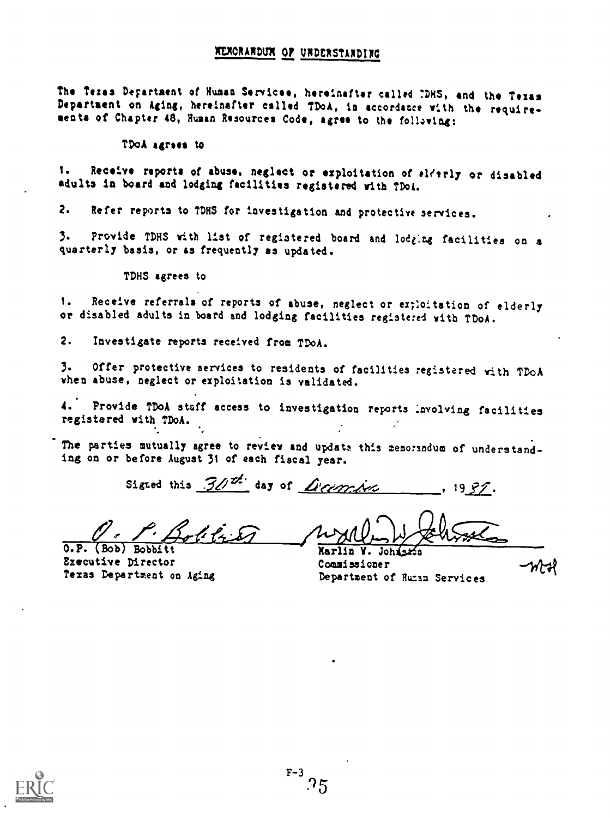#### WORARDVM 07 UNDERSTARDINO

The Texas Department of Human Servicee, hereinafter called IDHS, and the Texas Department on Aging, hereinafter called TDoA, in accordance with the requireseats of Chapter 48, Human Resources Code, agree to the following:

#### TDoA agrees to

1. Receive reports of abuse, neglect or exploitation of elderly or disabled adults in board and lodging facilities registered with ?Doi.

2. Refer reports to TDHS for investigation and protective services.

3. Provide TDHS with list of registered board and lodging facilities on <sup>a</sup> quarterly basis, or 83 frequently as updated.

TDHS agrees to

1. Receive referrals of reports of abuse, neglect or ex;loitation of elderly or disabled adults in board and lodging facilities registered with TDoA.

2. Investigate reports received from TDoA.

3. Offer protective services to residents of facilities registered with TDoA when abuse, neglect or exploitation is validated.

4. Provide TDoA staff access to investigation reports involving facilities registered with TDoA.

The parties mutually agree to review and update this memorindum of understanding on or before August 31 of each fiscal year.

Sigted this  $30<sup>th</sup>$  day of *Licencies*, 1937.

كمة الأمولية وتم

O.P. (Bob) Bobbitt Marlin V. Johnston Executive Director<br>Texas Department on Aging

Department of Human Services

าการเ

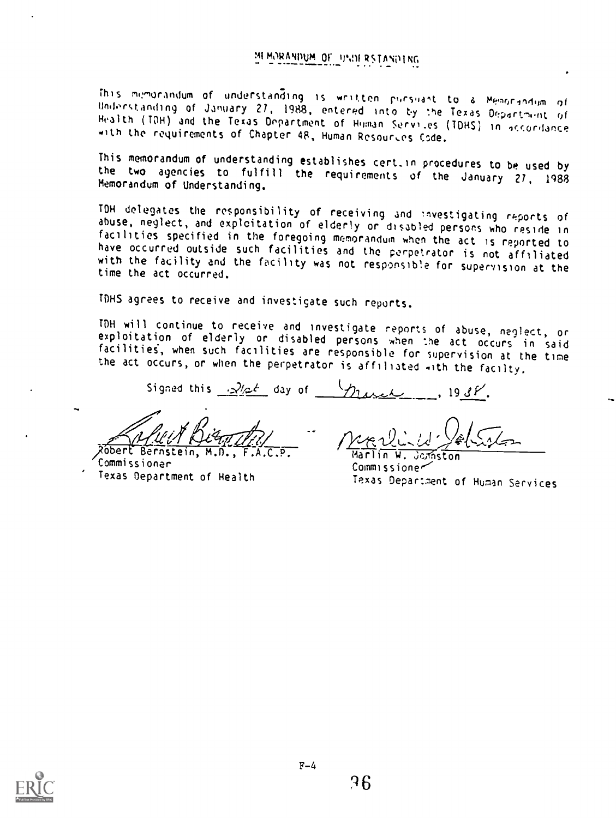This minorandum of understanding is written pursuant to a Memorandum of Undorstanding of January 27, 1988, entered into by :he Texas Oepnrt-uit Health (TON) and the Texas Department of Human Servi.es (TONS) in qrrordance with the requirements of Chapter 48, Human Rcsour.es Code.

This memorandum of understanding establishes cert\_in procedures to be used by the two agencies to fulfill the requirements of the January 27, <sup>1988</sup> Memorandum of Understanding.

TN delegates the responsibility of receiving and fivestigating reports of abuse, neglect, and exploitation of elderly or disabled persons who reside in<br>facilities specified in the foregoing memorandum when the act is reported to have occurred outside such facilities and the perpetrator is not affiliated<br>with the facility and the facility was not responsible for supervision at the<br>time the act occurred.

TDHS agrees to receive and investigate such reports.

TOH will continue to receive and investigate reports of abuse, neglect, or exploitation of elderly or disabled persons when he act occurs in said facilities, when such facilities are responsible for supervision at the time the act occurs, or when the perpetrator is affiliated with the facilty.

Signed this  $\frac{1}{2}$ /2<sup>1</sup> day of  $\frac{1}{2}$  day  $\frac{1}{2}$ ,  $\frac{1938}{100}$ 

Will Dean Thil

obert Bernstein, M.D., Commissioner Texas Department of Health

 $\bullet$  1  $\sim$ Marlin W. Jomston

Commissione~ Texas Department of Human Services

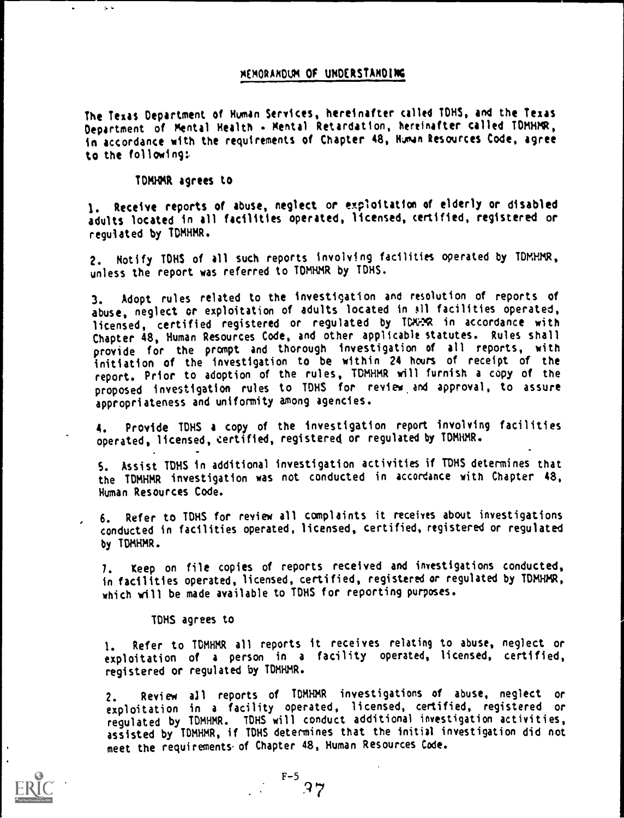#### MEMORANDUM Of UNDERSTANDING

The Texas Department of Human Services, hereinafter called TDHS, and the Texas Department of Mental Health - Mental Retardation, hereinafter called TDMHMR, in accordance with the requirements of Chapter 48, Human Resources Code, agree to the following:.

TDMHMR agrees to

1. Receive reports of abuse, neglect or exploitation of elderly or disabled adults located in all facilities operated, licensed, certified, registered or reguiated by TDMHMR.

2. Notify TDHS of all such reports involving facilities operated by TDMHMR, unless the report was referred to TDMHMR by TDHS.

3. Adopt rules related to the investigation and resolution of reports of abuse, neglect or exploitation of adults located in ail facilities operated, licensed, certified registered or regulated by TDNOSR in accordance with Chapter 48, Human Resources Code, and other applicable statutes. Rules shall provide for the prompt and thorough investigation of all reports, with initiation of the investigation to be within 24 hours of receipt of the report. Prior to adoption of the rules, TDMHMR will furnish a copy of the proposed investigation rules to TONS for review, and approval, to assure appropriateness and uniformity among agencies.

4. Provide TDHS a copy of the investigation report involving facilities operated, licensed, certified, registered or regulated by TDMHMR.

S. Assist TDHS in additional investigation activities if TDHS determines that the TDMHMR investigation was not conducted in accordance with Chapter 48, Human Resources Code.

6. Refer to TDHS for review all complaints it receives about investigations conducted in facilities operated, licensed, certified, registered or regulated by TDMHMR.

I. Keep on file copies of reports received and investigations conducted, in facilities operated, licensed, certified, registered or regulated by TDMHMR, which will be made available to IDHS for reporting purposes.

TDHS agrees to

1. Refer to TDMHMR all reports it receives relating to abuse, neglect or exploitation of <sup>a</sup> person in <sup>a</sup> facility operated, licensed, certified, registered or regulated by TDMHMR.

2. Review all reports of TDMHMR investigations of abuse, neglect or exploitation in <sup>a</sup> facility operated, licensed, certified, registered or regulated by TDMHMR. IDHS will conduct additional investigation activities, assisted by TDMHMR, if TDHS determines that the initial investigation did not meet the requirements. of Chapter 48, Human Resources Code.

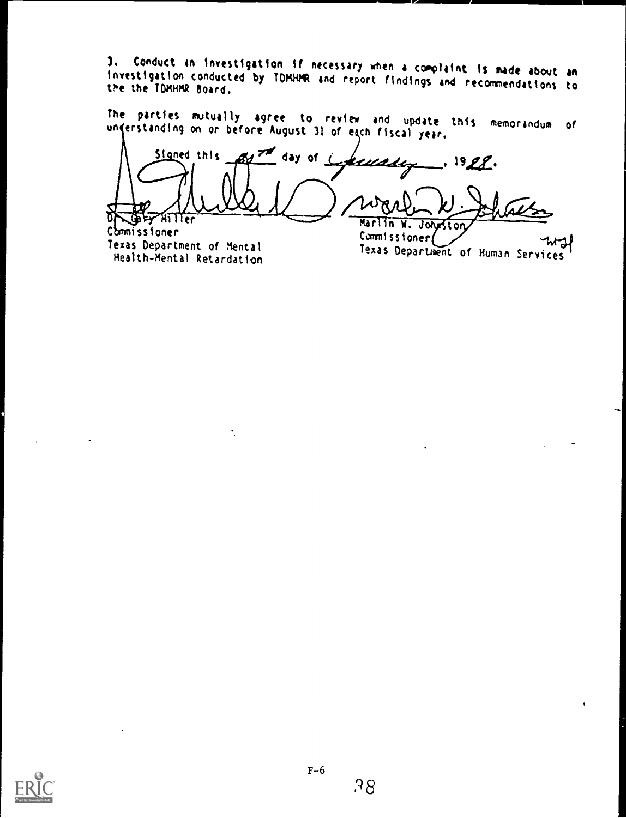3. Conduct an investigation if necessary when a complaint is made about an<br>investigation conducted by TDMHMR and report findings and recommendations to<br>the the TDMHMR Board.

The parties mutually agree to review and update this memorandum of<br>understanding on or before-August 31 of each fiscal year.

Signed this  $\mathbb{R}$ day of Laureaux, 1928. D e:41 er Marlin W. Johnston Commissioner

Texas Department of Mental Health-Mental Retardation

÷,

Commissioner Texas Department of Human Services

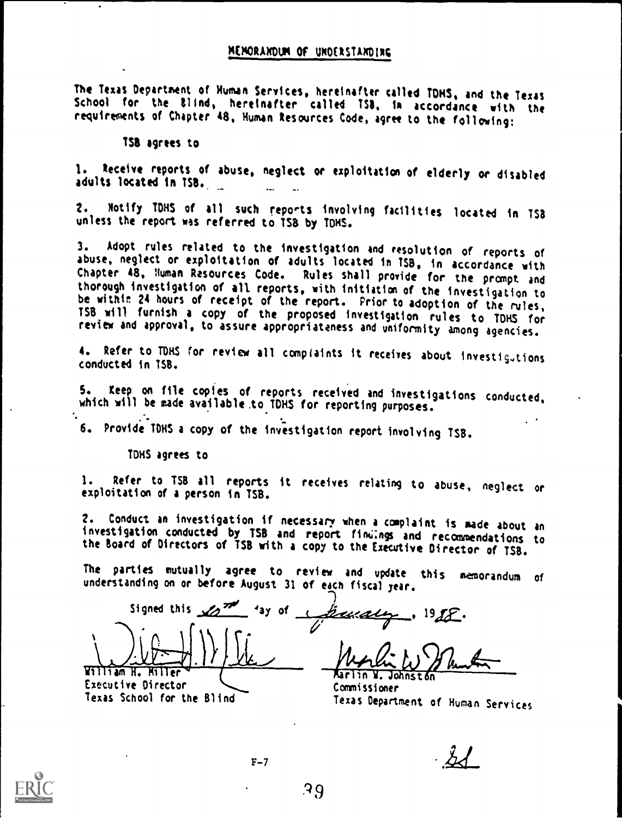The Texas Department of Human Services, hereinafter called TONS, and the Texas School for the Blind, hereinafter called TSB, in accordance with the requirements of Chapter 48, Human Resources Code, agree to the following:

1St agrees to

1. Receive reports of abuse, neglect or exploitation of elderly or disabled adults located in 1S8..

2. Notify TONS of all such reports involving facilities located in 153 unless the report was referred to TSB by TONS.

3. Adopt rules related to the investigation and resolution of reports of abuse, neglect or exploitation of adults located in TSB, in accordance with Chapter 48, Human Resources Code. Rules shall provide for the prompt and thorough investigation of all reports, with initiation of the investigation to be within 24 hours of receipt of the report. Prior to adoption of the rules,<br>TSB will furnish a copy of the proposed investigation rules to TDHS for<br>review and approval, to assure appropriateness and uniformity among agenc

4. Refer to TDHS for review all complaints it receives about investigutions conducted in TSB.

5. Keep on file copies of reports received and investigations conducted, which will be made available to TDHS for reporting purposes.

6. Provide TDHS a copy of the investigation report involving TSB.

TONS agrees to

Texas School for the Blind

1. Refer to TSB all reports it receives relating to abuse, neglect or exploitation of a person in TSB.

2. Conduct an investigation if necessary when a complaint is made about an<br>investigation conducted by TSB and report findings and recommendations to<br>the Board of Directors of TSB with a copy to the Executive Director of TS

The parties mutually agree to review and update this memorandum of understanding on or before August 31 of each fiscal year.

-) Signed this  $\sqrt{2^{77}}$  'ay of  $\sqrt{22}$  . 19 $\sqrt{2}$ . William H. Riller Aarlin V. Johnston Executive Director

Commissioner Texas Department of Human Services

 $F-7$ 

 $\mathcal{L}$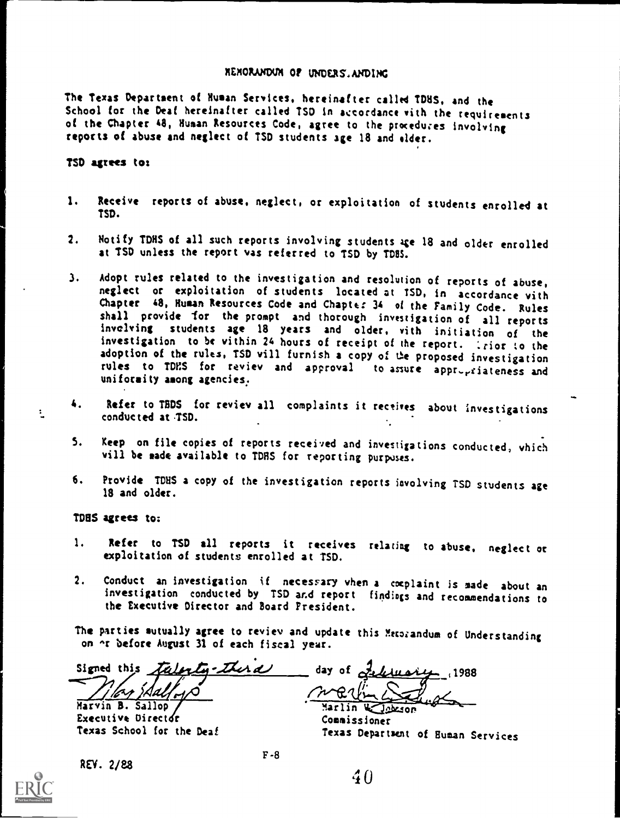#### REMORANDOX OF UNDERS.ANDING

The Texas Department of Human Services, hereinafter called TDHS, and the School for the Deaf hereinafter called TSD in accordance with the requirements of the Chapter 48, Human Resources Code, agree to the procedures involving reports of abuse and neglect of TSD students age 18 and older.

#### ?SD agrees to:

- 1. Receive reports of abuse, neglect, or exploitation of students enrolled at TSD.
- 2. Notify TDHS of all such reports involving students age 18 and older enrolled at TSD unless the report vas referred to TSD by TD8S.
- 3. Adopt rules related to the investigation and resolution of reports of abuse, neglect or exploitation of students located at TSD, in accordance vith Chapter 48, Human Resources Code and Chapter 34 of the Family Code. Rules shall provide for the prompt and thorough investigation of all reports involving students age <sup>18</sup> years and older, with initiation of the investigation to be vithin 24 hours of receipt of the report. . . rior to the adoption of the rules, TSD vill furnish a copy of the proposed investigation rules to TDES for reviev and approval to assure appr-yriateness and uniformity among agencies.
- 4. Refer to TBDS for reviev all complaints it receives about investigations conducted at TSD.
- 5. Keep on file copies of reports received and investigations conducted, vhich vill be made available to TDRS for reporting purposes.
- 6. Provide TDHS a copy of the investigation reports involving TSD students age 18 and older.

TD85 agrees to;

- 1. Refer to TSD all reports it receives relating to abuse, neglect or exploitation of students enrolled at TSD.
- 2. Conduct an investigation if necessary vhen a cocplaint is made about an investigation conducted by TSD and report findiogs and recommendations to the Executive Director and Board President.

The parties mutually agree to reviev and update this Metorandum of Understanding on  $\alpha$  before August 31 of each fiscal year.

Signed this talenty-thera day of 2

Marvin B. Sallop Marlin %.....11sort Executive Director<br>
Texas School for the Deaf<br>
Texas Demart:

REV. 2/88

 $R$ ا $\ell$  $\sim$ 

Texas Department of Human Services



 $\ddot{z}$ 

F-8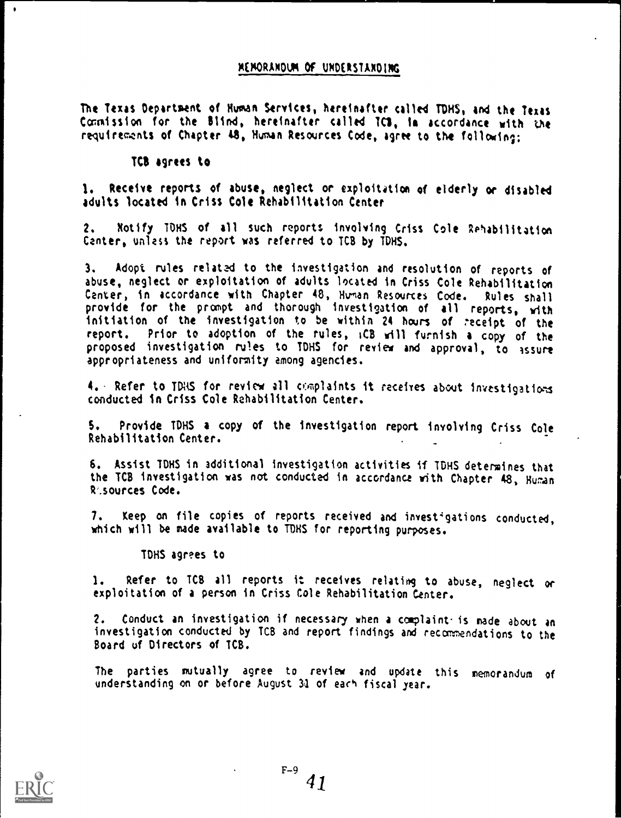#### MEMORANDUM Of UNDERSTANDING

The Texas Department of Human Services, hereinafter called TDHS, and the Texas Commission for the Blind, hereinafter called TO, to accordance with the requirements of Chapter 48, Human Resources Code, agree to the following;

#### TCS agrees to

1. Receive reports of abuse, neglect or exploitation of elderly or disabled adults located in Criss Cole Rehabilitation Center

2. Notify TOHS of all such reports involving Criss Cole Rehabilitation Center, unless the report was referred to TC8 by TDHS.

3, Adopt rules relatad to the investigation and resolution of reports of abuse, neglect or exploitation of adults located in Criss Cole Rehabilitation Center, in accordance with Chapter 48, Human Resources Code. Rules shall provide for the prompt and thorough investigation of all reports, with initiation of the investigation to be within 24 hours of receipt of the report. Prior to adoption of the rules, iCB will furnish a copy of the proposed investigation rules to TDHS for review and approval, to assure appropriateness and uniformity among agencies.

4. Refer to TDHS for review all complaints it receives about investigations conducted in Criss Cole Rehabilitation Center.

S. Provide TDHS a copy of the investigation report involving Criss Cole Rehabilitation Center.

6. Assist TDHS in additional investigation activities if TDHS determines that the ICS investigation was not conducted in accordance with Chapter 48, Hunan Resources Code.

7. Keep on file copies of reports received and investigations conducted. which will be made available to TDHS for reporting purposes.

TDHS agrees to

1. Refer to TCB all reports it receives relating to abuse, neglect or exploitation of a person in Criss Cole Rehabilitation Center.

2. Conduct an investigation if necessary when a complaint- is made about an investigation conducted by ICS and report findings and recomnendations to the Board of Directors of TCB.

The parties mutually agree to review and update this memorandum of understanding on or before August 31 of each fiscal year.

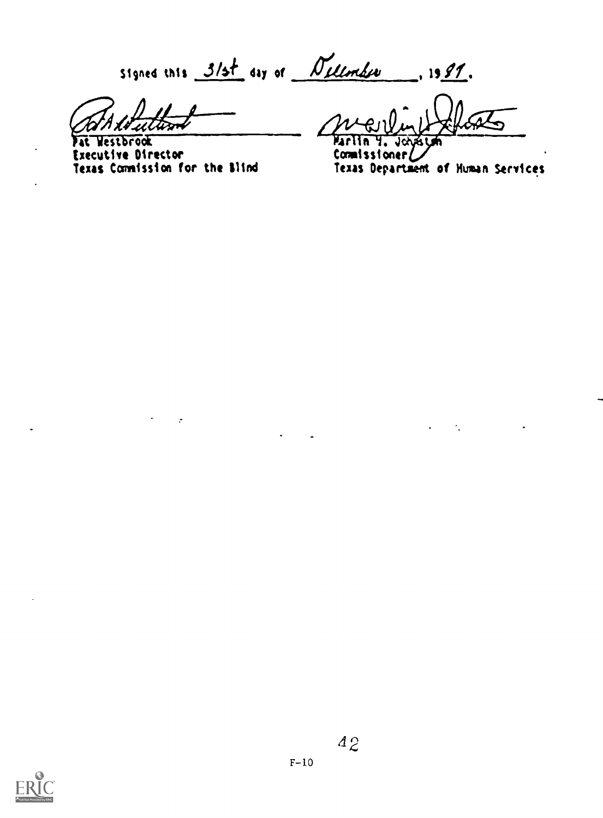signed this  $3/5t$  day of  $N$  elember 1991.

Addultiment

Fat Westbrook Executive Director Texas Commission for the Mind

 $\mathbf{r}$ 

Floats

Maritin 4. John<br>Commissioner/ Commissioner $\nu$ je komunističnom političarnom političarnom političarnom političarnom političarnom političarnom političarnom po<br>Jednom političarnom političarnom političarnom političarnom političarnom političarnom političarnom političarnom Texas Department of Human Services

 $\Delta \phi = 0.01$  and  $\Delta \phi = 0.01$ 

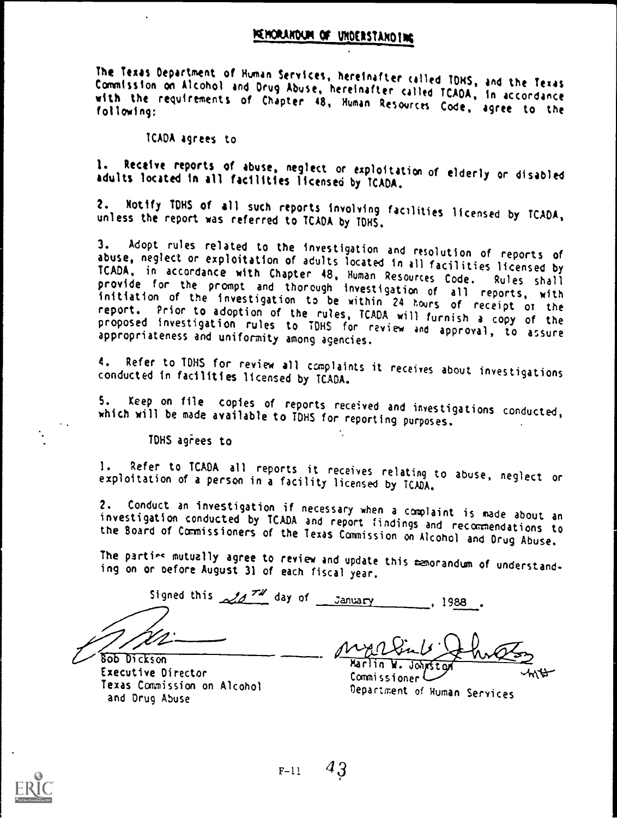#### UNDERSTAND INC

The Texas Department of Human Services, hereinafter called TOMS, and the Texas Commission on Alcohol and Drug Abuse, hereinafter with the requirements of Chapter 48, Human Resources Code, agree to the<br>following:

TCADA agrees to

1. Receive reports of abuse, neglect or exploitation of elderly or disabled<br>adults located in all facilities licensed by TCADA.

2. Notify IDHS of all such reports involving facilities licensed by TCADA, unless the report was referred to TCADA by TONS,

3. Adopt rules related to the investigation and resolution of reports of<br>abuse, neglect or exploitation of adults located in all facilities licensed by<br>ICADA, in accordance with Chapter 48, Human Resources Code. Rules shal

4. Refer to IDHS for review all complaints it receives about investigations conducted in facilities licensed by TCADA.

5. Keep on file copies of reports received and investigations conducted, which will be made available to TDHS for reporting purposes.

TDHS agrees to

1. Refer to TCADA all reports it receives relating to abuse, neglect or exploitation of a person in a facility licensed by TCADA.

2. Conduct an investigation if necessary when a complaint is made about an<br>investigation conducted by TCADA and report findings and recommendations to<br>the Board of Commissioners of the Texas Commission on Alcohol and Drug

The partirs mutually agree to review and update this memorandum of understand- ing on or oefore August 31 of each fiscal year.

Signed this  $\mathcal{A}$   $\mathcal{A}$   $\mathcal{A}$  day of January , 1988 .

bob Dickson Executive Director Texas Commission on Alcohol and Drug Abuse

 $\mu$ Marlin W.

Commissioner Department of Human Services



 $F-11$  43